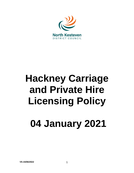

# **Hackney Carriage and Private Hire Licensing Policy**

# **04 January 2021**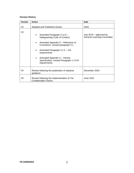#### **Version History**

| <b>Version</b> | <b>Action</b>                                                                                                                                                                                                                                                                             | Date                                                          |
|----------------|-------------------------------------------------------------------------------------------------------------------------------------------------------------------------------------------------------------------------------------------------------------------------------------------|---------------------------------------------------------------|
| V <sub>2</sub> | Adopted and Published version                                                                                                                                                                                                                                                             | 2016                                                          |
| V <sub>3</sub> | Amended Paragraph 3.12.5 -<br>Safeguarding Code of Conduct.<br>Amended Appendix D - Relevance of<br>Convictions, revised paragraph 3.1<br>Amended Paragraph 2.2.4 - IVA<br>requirements<br>Amended Appendix A - Vehicle<br>٠<br>Specification, revised Paragraph 1.3 IVA<br>requirements. | July 2019 – approved by<br><b>General Licensing Committee</b> |
| V4             | Review following the publication of statutory<br>guidance                                                                                                                                                                                                                                 | December 2020                                                 |
| V5             | Review following the implementation of Tax<br><b>Conditionality Checks</b>                                                                                                                                                                                                                | June 2022                                                     |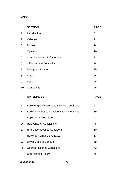# INDEX

|     | <b>SECTION</b>                                      | <b>PAGE</b> |
|-----|-----------------------------------------------------|-------------|
| 1.  | Introduction                                        | 5           |
| 2.  | Vehicles                                            | 7           |
| 3.  | <b>Drivers</b>                                      | 14          |
| 4.  | Operators                                           | 20          |
| 5.  | <b>Compliance and Enforcement</b>                   | 22          |
| 6.  | <b>Offences and Convictions</b>                     | 24          |
| 7.  | <b>Delegated Powers</b>                             | 25          |
| 8.  | Fares                                               | 25          |
| 9.  | Fees                                                | 26          |
| 10. | Complaints                                          | 26          |
|     |                                                     |             |
|     | <b>APPENDICES</b>                                   | <b>PAGE</b> |
| Α.  | Vehicle Specification and Licence Conditions        | 27          |
| В.  | <b>Additional Licence Conditions for Limousines</b> | 39          |
| C.  | <b>Application Procedures</b>                       | 42          |
| D.  | <b>Relevance of Convictions</b>                     | 48          |
| Е.  | <b>Hire Driver Licence Conditions</b>               | 60          |
| F.  | <b>Hackney Carriage Bye-Laws</b>                    | 63          |
| G.  | <b>Driver Code of Conduct</b>                       | 69          |
| Н.  | <b>Operator Licence Conditions</b>                  | 72          |

**V5-15/06/2022** 3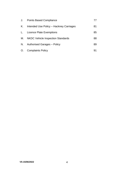| J. | <b>Points Based Compliance</b>           | 77. |
|----|------------------------------------------|-----|
| Κ. | Intended Use Policy - Hackney Carriages  | 81  |
| L. | Licence Plate Exemptions                 | 85  |
| М. | <b>NKDC Vehicle Inspection Standards</b> | 88  |
| N. | <b>Authorised Garages - Policy</b>       | 89  |
| O. | <b>Complaints Policy</b>                 | 91  |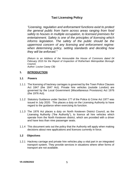# **Taxi Licensing Policy**

*"Licensing, regulation and enforcement functions exist to protect the general public from harm across areas ranging from food safety to houses in multiple occupation, to licensed premises for entertainment. Safety is one of the principles of licensing which informs legislation. The safety of the public should be the uppermost concern of any licensing and enforcement regime: when determining policy, setting standards and deciding how they will be enforced."*

*(Return to an Address of the Honourable the House of Commons dated 04 February 2015 for the Report of Inspection of Rotherham Metropolitan Borough Council, Author: Louise Casey CB)* 

# **1. INTRODUCTION**

#### **1.1 Powers**

- 1.1.1 The licensing of hackney carriages is governed by the Town Police Clauses Act 1847 (the 1847 Act). Private hire vehicles (outside London) are governed by the Local Government (Miscellaneous Provisions) Act 1976 (the 1976 Act).
- 1.1.2 Statutory Guidance under Section 177 of the Police & Crime Act 1977 was issued in July 2020. This places a duty on the Licensing Authority to have regard to the guidance when exercising its function.
- 1.1.3 The 1976 Act places a duty on North Kesteven District Council, as the Licensing Authority ("the Authority"), to licence all hire vehicles which operate from the North Kesteven district, which are provided with a driver and have less than nine passenger seats.
- 1.1.4 This document sets out the policy that the Authority will apply when making decisions about new applications and licences currently in force.

#### **1.2 Objectives**

1.2.1 Hackney carriage and private hire vehicles play a vital part in an integrated transport system. They provide services in situations where other forms of transport are not available.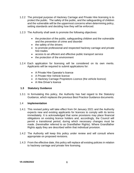- 1.2.2 The principal purpose of Hackney Carriage and Private Hire licensing is to protect the public. The safety of the public, and the safeguarding of children and the vulnerable will be the uppermost concerns when determining policy, setting standards and deciding how they will be enforced.
- 1.2.3 The Authority shall seek to promote the following objectives:
	- the protection of the public, safeguarding children and the vulnerable and the prevention of crime and disorder
	- the safety of the drivers
	- to promote professional and respected hackney carriage and private hire trades
	- access to an efficient and effective public transport service
	- the protection of the environment
- 1.2.4 Each application for licensing will be considered on its own merits. Applicants will be required to submit applications for:
	- A Private Hire Operator's licence
	- A Private Hire Vehicle licence
	- A Hackney Carriage Proprietors Licence (the vehicle licence)
	- A Hire Driver's licence

#### **1.3 Statutory Guidance**

1.3.1 In formulating this policy, the Authority has had regard to the Statutory Guidance, which replaces the previous Best Practice Guidance documents.

#### 1.4 **Implementation**

- 1.4.1 This revised policy will take effect from 04 January 2021 and the Authority expects new and existing applicants for licences to comply with its terms immediately. It is acknowledged that some provisions may place financial obligations on existing licence holders and, accordingly, the Council will permit a transitional period, during which necessary changes must be made. (hereinafter referred to as Grandfather Rights). Where Grandfather Rights apply they are described within that individual provision.
- 1.4.2 The Authority will keep this policy under review and will consult where appropriate on proposed revisions.
- 1.4.3 From the effective date, this policy will replace all existing policies in relation to hackney carriage and private hire licensing.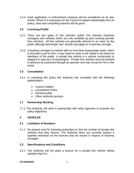1.4.4 Each application or enforcement measure will be considered on its own merits. Where it is necessary for the Council to depart substantially from its policy, clear and compelling reasons will be given.

# **1.5 Licensing Profile**

- 1.5.1 There are two types of hire vehicles: public hire vehicles (hackney carriages) and vehicles which are only available by prior booking (private hire vehicles). All hire vehicles are generally referred to as 'taxis' by the public although technically 'taxi' should only apply to a hackney carriage.
- 1.5.2 A hackney carriage is a vehicle with no more than 8 passenger seats, which is licensed to ply for hire, it may stand at ranks or be hailed in the street by members of the public. A private hire vehicle is a vehicle constructed or adapted to seat up to 8 passengers. Private hire vehicles must be booked in advance by customers through an operator and may not ply for hire in the street.

# **1.6 Consultation**

- 1.6.1 In reviewing this policy the Authority has consulted with the following stakeholders:-
	- Licence holders
	- Lincolnshire Police
	- General public
	- Other Authority services

# **1.7 Partnership Working**

1.7.1 The Authority will work in partnership with other agencies to promote the policy objectives.

# **2 VEHICLES**

# **2.1 Limitation of Numbers**

2.1.1 No powers exist for licensing authorities to limit the number of private hire vehicles that they licence. The Authority does not currently impose a quantity restriction on the licences that are issued in respect of hackney carriages.

# **2.2 Specifications and Conditions**

2.2.1 The Authority will not grant a licence for a private hire vehicle unless satisfied that it is;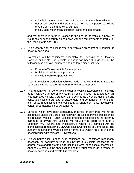- suitable in type, size and design for use as a private hire vehicle
- not of such design and appearance as to lead any person to believe that the vehicle is a hackney carriage
- in a suitable mechanical condition; safe; and comfortable

and that there is in force in relation to the use of the vehicle a policy of insurance or such security as complies with the requirements of Part VI of the Road Traffic Act 1988.

- 2.2.2 The Authority applies similar criteria to vehicles presented for licensing as hackney carriages.
- 2.2.3 No vehicle will be considered acceptable for licensing as a Hackney Carriage or Private Hire Vehicle unless it has been through one of the following type approval schemes and unaltered since that time:
	- European Whole Vehicle Type approval
	- British National Type approval; or
	- Individual Vehicle Approval (IVA)

Most large volume production vehicles made in the UK and EU States after 1987 satisfy British and/or European Whole Type Approval.

- 2.2.4 The Authority will not generally consider any vehicle acceptable for licensing as a Hackney Carriage or Private Hire Vehicle unless it is a category M1 type approved vehicle. Category M1 is defined as a vehicle designed and constructed for the carriage of passengers and comprises no more than eight seats in addition to the driver's seat. (Grandfather Rights may apply in certain circumstances, see Appendix A).
- 2.2.5 Vehicles which have been structurally modified or converted will not be acceptable unless they are presented with M1 type approval certification for the resultant vehicle. Such vehicles presented for licensing as hackney carriages or private hire vehicles will require type approval through a Voluntary IVA. Where, after inspection, a vehicle fully complies with the technical requirements the DVSA will issue a Certificate of Compliance. The authority requires the IVA to be to the Normal level, which requires evidence of compliance with relevant EC Directives.
- 2.2.6 The Authority shall impose such conditions as it considers reasonably necessary on hackney carriage and private hire vehicle licences to set appropriate standards for the external and internal conditions of the vehicle. Appendix A sets out the specification and minimum standards in respect of hackney carriages and private hire vehicles.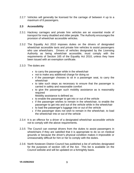2.2.7 Vehicles will generally be licensed for the carriage of between 4 up to a maximum of 8 passengers.

# **2.3 Accessibility**

- 2.3.1 Hackney carriages and private hire vehicles are an essential mode of transport for many disabled and older people. The Authority encourages the provision of wheelchair accessible vehicles.
- 2.3.2 The Equality Act 2010 imposes duties on the drivers of designated wheelchair accessible taxis and private hire vehicles to assist passengers who use wheelchairs. Drivers of vehicles designated by the Licensing Authority as being wheelchair accessible, must comply with the requirements of Section 165 of the Equality Act 2010, unless they have been issued with an exemption certificate.
- 2.3.3 The duties are:
	- to carry the passenger while in the wheelchair
	- not to make any additional charge for doing so
	- if the passenger chooses to sit in a passenger seat, to carry the wheelchair
	- to take such steps as necessary to ensure that the passenger is carried in safety and reasonable comfort
	- to give the passenger such mobility assistance as is reasonably required

Mobility assistance is defined as:

- to enable the passenger to get into or out of the vehicle
- if the passenger wishes to remain in the wheelchair, to enable the passenger to get into and out of the vehicle while in the wheelchair
- to load the passenger's luggage into or out of the vehicle
- if the passenger does not wish to remain in the wheelchair, to load the wheelchair into or out of the vehicle
- 2.3.4 It is an offence for a driver of a designated wheelchair accessible vehicle not to comply with the above requirements.
- 2.3.5 The Council can exempt drivers from the duties to assist passengers in wheelchairs if they are satisfied that it is appropriate to do so on medical grounds or because the driver's physical condition makes it impossible or unreasonably difficult for him or her to comply with the duties.
- 2.3.6 North Kesteven District Council has published a [list of vehicles designated](https://www.n-kesteven.gov.uk/EasySiteWeb/GatewayLink.aspx?alId=51228)  [for the purposes of section 165 of the Act.](https://www.n-kesteven.gov.uk/EasySiteWeb/GatewayLink.aspx?alId=51228) This list is available on the Council website and will be updated on a fortnightly basis.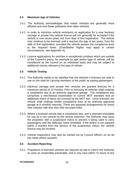# **2.4 Maximum Age of Vehicles**

- 2.4.1 The Authority acknowledges that newer vehicles are generally more efficient and emit fewer pollutants than older vehicles.
- 2.4.2 In order to minimize vehicle emissions an application for a new hackney carriage or private hire vehicle licence will not generally be accepted if the vehicle is over seven years old, from date of first registration. The vehicle may continue to be licensed until it reaches the age of ten years, from the date of first registration, provided the vehicle passes the compliance tests at the required times. (Grandfather Rights may apply in certain circumstances, see Appendix A).
- 2.4.3 Licence applications for vehicles in exceptional condition which are outside of the Council's policy, for example by age and/or type of vehicle, will be considered by the council on an individual basis and may be subject to additional checks relevant to the type of vehicle.

# **2.5 Vehicle Testing**

- 2.5.1 The Authority needs to be satisfied that the vehicles it licenses are safe to use on the road for carrying members of the public as paying passengers.
- 2.5.2 Hackney carriage and private hire vehicles are granted licences for a maximum period of 12 months. Prior to licensing all vehicles shall undergo a compliance test at an authority approved garage. The compliance test comprises a mechanical examination to current MOT standard and an additional check of items not covered by the MOT test. Once licensed, the vehicle shall undergo further compliance tests at an authority approved garage at 6 monthly intervals. There are separate arrangements for brand new vehicles with less than 500 recorded miles.
- 2.5.3 Where a licensed vehicle fails a compliance test, and is deemed unsuitable for use as a hire vehicle by the vehicle examiner, the Authority may issue the proprietor with a suspension notice to prevent it being used to carry passengers until the defect(s) is/are remedied. If the defect is not repaired within 2 months from the service of the suspension notice, the vehicle licence may be revoked.
- 2.5.4 Vehicle inspections may also be carried out by Council officers on an ad hoc basis where required.

#### **2.6 Accident Reporting**

2.6.1 Proprietors of licensed vehicles are required by law to inform the Authority as soon as reasonably practicable, and in any case within 72 hours of any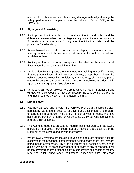accident to such licensed vehicle causing damage materially affecting the safety, performance or appearance of the vehicle. (Section 50(3) of the 1976 Act).

# **2.7 Signage and Advertising**

- 2.7.1 It is important that the public should be able to identify and understand the difference between a hackney carriage and a private hire vehicle. Appendix A details the requirements for signage, identification plates and the provisions for advertising.
- 2.7.2 Private hire vehicles shall not be permitted to display roof-mounted signs or any sign or notice which may tend to indicate that the vehicle is a taxi and available for hire.
- 2.7.3 Roof signs fitted to hackney carriage vehicles shall be illuminated at all times when the vehicle is available for hire.
- 2.7.4 Vehicle identification plates are a key feature in helping to identify vehicles that are properly licensed. All licensed vehicles, except those private hire vehicles deemed Executive Vehicles by the Authority, shall display plates externally on the rear of the vehicle. Executive Vehicles are defined in Appendix L, paragraph 3. (See also 2.15).
- 2.7.5 Vehicles shall not be allowed to display written or other material on any window with the exception of those permitted by the conditions of the licence and those required by law, or manufacturer's mark.

# **2.8 Driver Safety**

- 2.8.1 Hackney carriage and private hire vehicles provide a valuable service, particularly late at night. Security for drivers and passengers is, therefore, of paramount importance. There are a number of ways to reduce the risks such as pre-payment of fares, driver screens, CCTV surveillance systems and radio link schemes.
- 2.8.2 The Authority does not propose to require that measures such as CCTV should be introduced, it considers that such decisions are best left to the judgment of the owners and drivers themselves.
- 2.8.3 Where CCTV systems are installed in vehicles adequate signage shall be displayed in the passenger compartment advising passengers that they are being monitored/recorded. Any such equipment shall be fitted overtly and in such a way as not to present any danger or hazard to any passenger. It will be the driver/proprietor's responsibility to comply with all aspects of the law regarding such surveillance equipment, especially data protection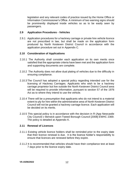legislation and any relevant codes of practice issued by the Home Office or Information Commissioner's Office. A minimum of two warning signs should be prominently displayed inside vehicles so as to be easily seen by passengers.

# **2.9 Application Procedures - Vehicles**

2.9.1 Application procedures for a hackney carriage or private hire vehicle licence are not prescribed in law, but shall be made on the application form produced by North Kesteven District Council in accordance with the application procedure set out in Appendix C.

# **2.10 Consideration of Applications**

- 2.10.1 The Authority shall consider each application on its own merits once satisfied that the appropriate criteria have been met and the application form and supporting documents are complete.
- 2.10.2 The Authority does not allow dual plating of vehicles due to the difficulty in ensuring compliance.
- 2.10.3 The Council has adopted a special policy regarding intended use for the licensing of Hackney Carriages. Applicants who wish to be a hackney carriage proprietor but live outside the North Kesteven District Council area will be required to provide information, pursuant to section 57 of the 1976 Act as to where they intend to use the vehicle.
- 2.10.4 There will be a presumption that applicants who do not intend to a material extent to ply for hire within the administrative area of North Kesteven District Council will not be granted a hackney carriage licence. Each application will be decided on its merits.
- 2.10.5 This special policy is in accordance with the decision in R (App Newcastle City Council) v Berwick-upon-Tweed Borough Council [2008] EWHC 2369. The policy is detailed at Appendix K.

#### **2.11 Renewal of Licences**

- 2.11.1 Existing vehicle licence holders shall be reminded prior to the expiry date that their licence renewal is due. It is the licence holder's responsibility to ensure that licences are renewed before they expire.
- 2.11.2 It is recommended that vehicles should have their compliance test at least 7 days prior to the licence expiry date.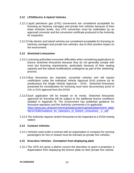# **2.12 LPG/Electric & Hybrid Vehicles**

- 2.12.1 Liquid petroleum gas (LPG) conversions are considered acceptable for licensing as hackney carriages and private hire vehicles because of their lower emission levels. Any LPG conversion must be undertaken by an approved converter and the conversion certificate produced to the Authority for inspection.
- 2.12.2 Fully electric and hybrid vehicles are considered acceptable for licensing as hackney carriages and private hire vehicles, due to their positive impact on the environment.

#### **2.13 Stretched Limousines**

- 2.13.1 Licensing authorities encounter difficulties when considering applications to licence stretched limousines because they do not generally comply with most taxi licensing requirements, particularly because of their seating capacity and the radical modifications undergone as part of the 'stretching' process.
- 2.13.2 Most limousines are imported, converted vehicles and will require certification under the Individual Vehicle Approval (IVA) scheme (or its predecessor the Single Vehicle Approval – SVA). Stretched limousines presented for consideration for licensing must have documentary proof of IVA or SVA approval from the DVSA.
- 2.13.3 Each application will be treated on its merits. Stretched limousines approved for licensing will be subject to the additional licence conditions detailed in Appendix B**.** The Government has published guidance for limousine operators and the Authority commends it to applicants. [https://www.gov.uk/government/uploads/system/uploads/attachment\\_data/](https://www.gov.uk/government/uploads/system/uploads/attachment_data/file/147836/Guidance_for_Operators_of_Stretch_Limousines__2_.pdf) [file/147836/Guidance\\_for\\_Operators\\_of\\_Stretch\\_Limousines\\_\\_2\\_.pdf](https://www.gov.uk/government/uploads/system/uploads/attachment_data/file/147836/Guidance_for_Operators_of_Stretch_Limousines__2_.pdf)
- 2.13.4 The Authority requires stretch limousines to be inspected at a DVSA testing station.

#### **2.14 Contract Vehicles**

2.14.1 Vehicles used under a contract with an organisation or company for carrying passengers for hire or reward must be licensed as private hire vehicles.

# **2.15 Executive Vehicles - Exemption from displaying plate**

2.15.1 The 1976 Act gives a district council the discretion to grant a proprietor a dispensation from displaying the licence plate on their private hire vehicle.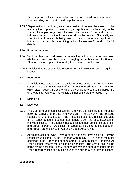Each application for a dispensation will be considered on its own merits. The overriding consideration will be public safety.

2.15.2 Dispensation will not be granted as a matter of course, the case must be made by the proprietor. In determining an application it will normally be the status of the passenger and the executive nature of the work that will indicate whether or not the dispensation should be granted. The quality and specification of the vehicle being used will be supportive of an application, but will not be the sole determining factor. Please see Appendix L for full details.

# **2.16 Exempt Vehicles**

- 2.16.1 Vehicles that are used solely in connection with a funeral, or are being wholly or mainly used by a person carrying on the business of a Funeral Director for the purpose of funerals, do not need to be licensed.
- 2.16.2 Vehicles that are used solely in connection with a wedding do not require a licence.

# **2.17 Insurance**

2.17.1 A vehicle must have a current certificate of insurance or cover note which complies with the requirements of Part VI of the Road Traffic Act 1988 and which clearly covers the use to which the vehicle is to be put, i.e. public hire or private hire. A private hire vehicle cannot be insured for public hire.

#### **3 DRIVERS**

#### **3.1 Licences**

- 3.1.1 The Council grants dual licences giving drivers the flexibility to drive either hackney carriage or private hire vehicles. The Authority has to issue licences valid for 3 years, but it has limited discretion to grant licences valid for a lesser period if deemed appropriate given the circumstances in individual cases. The Council must be satisfied that licence holders are 'fit and proper' persons. Application procedures, including details about 'Fit and Proper' are explained in Appendix C and Appendix D.
- 3.1.2 Applicants shall be over 18 years of age and shall have held a full driving licence issued in the UK, the European Community (EC) or one of the other countries in the European Economic Area (EEA) for at least 12 months. All DVLA licence records will be checked annually. The cost of this will be borne by the applicant. The Authority reserves the right to conduct further DVLA record checks at any time during the currency of a driving licence,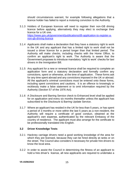should circumstances warrant, for example following allegations that a licence holder has failed to report a motoring conviction to the Authority.

- 3.1.3 Holders of European licences will need to register their non-GB driving licence before applying, alternatively they may elect to exchange their licence for a UK one. [https://www.gov.uk/government/publications/d9-application-to-register-a](https://www.gov.uk/government/publications/d9-application-to-register-a-non-gb-driving-licence)[non-gb-driving-licence](https://www.gov.uk/government/publications/d9-application-to-register-a-non-gb-driving-licence)
- 3.1.4 Applicants shall make a declaration that they have a statutory right to work in the UK and any applicant that has a limited right to work shall not be issued a driver licence for a period longer than that limited period. The Authority will make checks, including checks with the Home Office, to confirm an applicant's right to work. The Authority is aware that the Government proposes to introduce mandatory 'right to work' checks for taxi drivers in the Immigration Bill.
- 3.1.5 Any applicant for a new or renewal licence shall be required to complete an application form and a statutory declaration and formally confirm any convictions, spent or otherwise, at the time of application. These forms ask for any time spent abroad and any convictions imposed in the UK or abroad. All the applicant's criminal convictions must be entered onto these forms, including spent convictions and cautions. It is an offence to knowingly or recklessly make a false statement or to omit information required by the Authority (Section 57 of the 1976 Act).
- 3.1.6 A Disclosure and Barring Service check to Enhanced level shall be applied for on application and every six months thereafter unless the applicant has subscribed to the Disclosure & Barring Update Service.
- 3.1.7 Where an applicant has resided in the UK for less than 5 years, or has spent a period of 3 months or more within the last 5 years as a non-resident, the Authority will require a certificate of good conduct, obtained at the applicant's own expense, authenticated by the relevant Embassy of the country of residence. The applicant must also arrange for the certificate to be professionally translated into English.

#### **3.2 Driver Knowledge Tests**

- 3.2.1 Hackney carriage drivers need a good working knowledge of the area for which they are licensed, because they can be hired directly at ranks or on the street. The Council also considers it necessary for private hire drivers to know the local area.
- 3.2.2 In order to assist the Council in determining the fitness of an applicant to hold a hire driver's licence, all new applicants are required to undertake a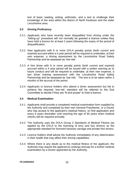test of basic reading, writing, arithmetic, and a test to challenge their knowledge of the area within the district of North Kesteven and the wider Lincolnshire area.

# **3.3 Driving Proficiency**

- 3.3.1 Applicants who have recently been disqualified from driving under the "totting-up" procedure will not normally be granted a licence unless they have held a licence for at least 2 years following the expiry of the period of disqualification.
- 3.3.2 New applicants with 6 or more DVLA penalty points (both current and expired) accrued within a 4 year period will be required to undertake, at their own expense, a driving assessment by the Lincolnshire Road Safety Partnership and be assessed as 'low-risk'.
- 3.3.3 A hire driver with 6 or more penalty points (both current and expired) accrued within a 4 year period will be issued with a written warning as to future conduct and will be required to undertake, at their own expense, a taxi driver training assessment with the Lincolnshire Road Safety Partnership and be assessed as 'low-risk'. The test is to be taken within 3 months of the accrual of the points.
- 3.3.4 Applicants or licence holders who attend a driver assessment but fail to achieve the required 'low-risk' standard will be referred to the Sub Committee to decide if they are 'fit and proper' to hold a licence.

#### **3.4 Medical Examination**

- 3.4.1 Applicants shall provide a completed medical examination form supplied by the Authority and completed by their own General Practitioner, or a Doctor who has access to the applicant's medical history, on first application and every 6 years thereafter until reaching the age of 65 years when medical checks will be required annually.
- 3.4.2 The Authority uses the DVLA Group 2 Standards of Medical Fitness (as applied by the DVLA to the licensing of lorry and bus drivers) as the appropriate standard for licensed hackney carriage and private hire drivers.
- 3.4.3 Licence holders shall advise the Authority immediately of any deterioration in their health that may affect their driving capabilities.
- 3.4.4 Where there is any doubt as to the medical fitness of the applicant, the Authority may require the applicant to undergo and pay for a further medical examination by a Doctor appointed by the Authority.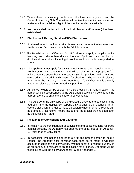- 3.4.5 Where there remains any doubt about the fitness of any applicant, the General Licensing Sub Committee will review the medical evidence and make any final decision in light of the medical evidence available.
- 3.4.6 No licence shall be issued until medical clearance (if required) has been established.

# **3.5 Disclosure & Barring Service (DBS) Disclosures**

- 3.5.1 A criminal record check on a driver is seen as an important safety measure. An Enhanced Disclosure through the DBS is required.
- 3.5.2 The Rehabilitation of Offenders Act 1974 does not apply to applicants for hackney and private hire drivers licences. Applicants are required to disclose all convictions, including those that would normally be regarded as spent.
- 3.5.3 The applicant must apply for a DBS check through the Licensing Team at North Kesteven District Council and will be charged an appropriate fee, unless they are subscribed to the Update Service provided by the DBS and can produce their original disclosure for checking. The original disclosure must be for the category – *'Other Workforce – Taxi Driver'*, this is the only type of Disclosure that the Authority is permitted to see.
- 3.5.4 All licence holders will be subject to a DBS check on a 6 monthly basis. Any person who is not subscribed to the DBS update service will be charged the appropriate fee to enable this check to be conducted.
- 3.5.5 The DBS send the only copy of the disclosure direct to the subject's home address. It is the applicant's responsibility to ensure the Licensing Team see the disclosure in order to make a decision whether or not a licence can be granted. A licence will not be issued until the Disclosure has been seen by the Licensing Team.

#### **3.6 Relevance of Convictions and Cautions**

- 3.6.1 In relation to the consideration of convictions and police cautions recorded against persons, the Authority has adopted the policy set out in Appendix D, Relevance of Convictions.
- 3.6.2 In assessing whether the applicant is a fit and proper person to hold a licence, the Authority shall consider each case on its merit. It will take account of cautions and convictions, whether spent or unspent, but only in so far as they are relevant to an application for a licence. Decisions will be taken in line with the policy at Appendix C and Appendix D.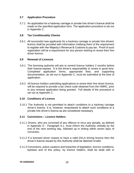# **3.7 Application Procedure**

3.7.1 An application for a hackney carriage or private hire driver's licence shall be made on the specified application form. The application procedure is set out in Appendix C.

# **3.8 Tax Conditionality Checks**

3.8.1 All successful new applicants for a hackney carriage or private hire drivers' licence shall be provided with information notifying them of the requirement to register with Her Majesty's Revenue & Customs to pay tax. Proof of such registration will be a requirement for any person wishing to renew their hire driver licence.

# **3.9 Renewal of Licences**

- 3.9.1 The licensing authority will aim to remind licence holders 2 months before their licence expires. It is the driver's responsibility to renew in good time. Completed application forms, appropriate fees, and supporting documentation, as set out in Appendix C, must be submitted at the time of application.
- 3.9.2 All licence holders submitting applications to renew their hire driver licence, will be required to provide a tax check code obtained from the HMRC, prior to any renewal application being granted. Full details of the procedure is set out at Appendix C.

# **3.10 Conditions of Licence**

3.10.1 The Authority is not permitted to attach conditions to a hackney carriage driver's licence. It is, however, empowered to attach such conditions to a private hire driver's licence as are considered necessary.

#### **3.11 Convictions – Licence Holders**

- 3.11.1 Drivers, who are convicted of any offence or incur any penalty, as defined in Appendix D - Paragraph 6.1, must inform the Authority verbally by the end of the next working day, followed up in writing within seven days of conviction.
- 3.11.2 If a licensed driver ceases to have a valid DVLA driving licence then the driver's licence issued by this Authority shall be deemed invalid.
- 3.11.3 Convictions, police cautions and breaches of legislation, licence conditions, byelaws and of this policy, by licence holders, shall be dealt with in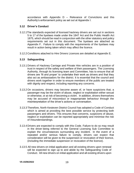accordance with Appendix  $D$  – Relevance of Convictions and this Authority's enforcement policy as set out at Appendix I.

# **3.12 Driver's Conduct**

- 3.12.1The standards expected of licensed hackney drivers are set out in sections 5 to 17 of the byelaws made under the 1847 Act and the Public Health Act 1875, which should be read in conjunction with the other statutory and policy requirements set out in this document. The byelaws are attached as Appendix F. Failure to comply with the requirements of the byelaws may result in action being taken which may affect the licence.
- 3.12.2 Conditions attached to Hire Drivers Licences are detailed at Appendix E.

#### **3.13 Safeguarding**

- 3.13.1 Drivers of Hackney Carriage and Private Hire vehicles are in a position of trust in respect of the safety and welfare of their passengers. The Licensing Authority, through its licensing team and Committee, has to ensure that all drivers are 'fit and proper' to undertake their work as drivers and that they also act as ambassadors for the district. It is essential that the council and drivers work together in order to ensure members of the public are treated with dignity and respect, including reporting any concerns.
- 3.13.2 On occasions, drivers may become aware of, or have suspicions that, a passenger may be the victim of abuse, neglect or exploitation either sexual or otherwise, or at risk of becoming a victim. In addition, drivers themselves may be accused of misconduct or inappropriate behaviour through the misinterpretation of the driver's actions or conversation.
- 3.13.3 Therefore, North Kesteven District Council has adopted a Code of Conduct which is aimed at providing the best possible service by protecting both passengers and drivers. This ensures that concerns, suspicions of abuse, neglect or exploitation can be reported appropriately and minimise the risk of misunderstandings.
- 3.13.4 Drivers are expected to comply with this Code. Failure to do so may result in the driver being referred to the General Licensing Sub Committee to explain the circumstances surrounding any incident. In the event of a repeated and/or serious failure to comply, drivers can expect that consideration will be given to the suspension or revocation of their licence, (including the immediate suspension or revocation of the licence).
- 3.13.5 All new drivers on initial application and all existing drivers upon renewal will be expected to sign up to and abide by the Safeguarding Code of Conduct. All new drivers on initial application and all existing drivers upon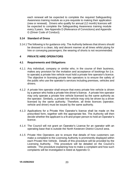each renewal will be expected to complete the required Safeguarding Awareness training module as a pre-requisite to making their application (new or renewal). Drivers who qualify for annual (12 month) licences will be expected to complete the Safeguarding Awareness training module every 3 years. See Appendix D (Relevance of Convictions) and Appendix G (Driver Code of Conduct).

# **3.14 Standard of Dress**

3.14.1 The following is for guidance only. The Authority believes that drivers should be dressed in a clean, tidy and decent manner at all times whilst plying for hire or conveying passengers; the wearing of shorts is not recommended.

# **4 PRIVATE HIRE OPERATORS**

# **4.1 Requirements and Obligations**

- 4.1.1 Any individual, company or similar who, in the course of their business, makes any provision for the invitation and acceptance of bookings for (i.e. to operate) a private hire vehicle must hold a private hire operator's licence. The objective in licensing private hire operators is to ensure the safety of the public who use the operator's services including premises, vehicles and drivers.
- 4.1.2 A private hire operator shall ensure that every private hire vehicle is driven by a person who holds a private hire driver's licence. A private hire operator may only operate a private hire vehicle licensed by the same authority as the operator. Similarly, a private hire vehicle may only be driven by a driver licensed by the same authority. Therefore, all three licences (operator, vehicle and driver) must be issued by the same authority.
- 4.1.3 Applications for a Private Hire Operator's licence shall be made on the prescribed form, together with the appropriate fee. The Authority will then decide whether the applicant is a fit and proper person to hold an Operator's licence.
- 4.1.4 The Council will not grant an Operator's Licence for an operator with an operating base that is outside the North Kesteven District Council area.
- 4.1.5 Private Hire Operators are to ensure that details of how customers can make a complaint to the Licensing Authority is prominently displayed within each Private Hire Vehicle. Details of this procedure will be provided by the Licensing Authority. This procedure will be detailed on the Council's website. The procedure explaining how to make a complaint and how such complaints will be investigated is listed at Appendix O.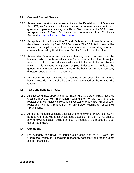# **4.2 Criminal Record Checks**

- 4.2.1 Private hire operators are not exceptions to the Rehabilitation of Offenders Act 1974, so Enhanced disclosures cannot be required as a condition of grant of an operator's licence, but a Basic Disclosure from the DBS is seen as appropriate. A Basic Disclosure can be obtained from Disclosure Scotland. [www.disclosurescotland.co.uk](file://///sl-netdiv2nk/ENVIRONMENTALHEATH/licensing/Licensing%20Policies/Taxi%20Policy%20Documents/2015%20revision%20incl%20Garages/Draft%20Policy/Working%20copies/www.disclosurescotland.co.uk)
- 4.2.2 An applicant for a Private Hire Operator's licence shall provide a current (less than 1 month old) Basic DBS Disclosure. The DBS disclosure shall be required on application and annually thereafter unless they are also currently licensed by North Kesteven District Council as a hire driver.
- 4.2.3 Private Hire Operators are to ensure that any person involved with the business, who is not licensed with the Authority as a hire driver, is subject to a basic criminal record check with the Disclosure & Barring Service (DBS). This includes any person employed despatching vehicles, the general management or maintenance of the business and any company directors, secretaries or silent partners.
- 4.2.4 Any Basic Disclosure checks are required to be renewed on an annual basis. Records of such checks are to be maintained by the Private Hire Operator.

# **4.3 Tax Conditionality Checks**

- 4.3.1 All successful new applicants for a Private Hire Operators (PHOp) Licence shall be provided with information notifying them of the requirement to register with Her Majesty's Revenue & Customs to pay tax. Proof of such registration will be a requirement for any person wishing to renew their PHOp licence.
- 4.3.2 All licence holders submitting applications to renew their PHOp licence, will be required to provide a tax check code obtained from the HMRC, prior to any renewal application being granted. Full details of the procedure is set out at Appendix C.

#### **4.4 Conditions**

4.4.1 The Authority has power to impose such conditions on a Private Hire Operator's licence as it considers reasonably necessary and these are set out in Appendix H.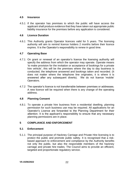#### **4.5 Insurance**

4.5.1 If the operator has premises to which the public will have access the applicant shall produce evidence that they have taken out appropriate public liability insurance for the premises before any application is considered.

# **4.6 Licence Duration**

4.6.1 This Authority grants Operator licences valid for 5 years. The licensing authority will aim to remind licence holders 2 months before their licence expires. It is the Operator's responsibility to renew in good time.

# **4.7 Operating Base**

- 4.7.1 On grant or renewal of an operator's licence the licensing authority will specify the address from which the operator may operate. Operate means 'to make provision for the invitation or acceptance of bookings for a private hire vehicle', this will be the premises where the day to day business is conducted, the telephone answered and bookings taken and recorded. (It does not matter where the telephone line originates, it is where it is answered after any subsequent diverts). We do not licence 'mobile' Operators.
- 4.7.2 The operator's licence is not transferrable between premises or addresses. A new licence will be required when there is any change of the operating address.

# **4.8 Planning Consent**

4.8.1 To operate a private hire business from a residential dwelling, planning permission for such business use may be required. All applications for an Operator's Licence are forwarded to the Planning Department for their attention. It is the applicant's responsibility to ensure that any necessary planning permissions are in place.

# **5 COMPLIANCE AND ENFORCEMENT**

#### **5.1 Enforcement**

5.1.1 The principal purpose of Hackney Carriage and Private Hire licensing is to protect the public and promote public safety. It is recognised that a riskbased approach to enforcement and compliance by the Authority benefits not only the public, but also the responsible members of the hackney carriage and private hire trades. The Council aims to provide an efficient, targeted and proportionate regulatory service.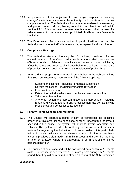- 5.1.2 In pursuance of its objective to encourage responsible hackney carriage/private hire businesses, the Authority shall operate a firm but fair compliance regime. The Authority will only intervene where it is necessary and proportionate to do so, having regard to the objectives outlined in section 1.2.1 of this document. Where defects are such that the use of a vehicle needs to be immediately prohibited, livelihood interference is inevitable.
- 5.1.3 The Enforcement Policy as set out at Appendix I will ensure that the Authority's enforcement effort is reasonable, transparent and well directed.

# **5.2 Compliance Hearings**

- 5.2.1 The Authority's General Licensing Sub Committee, consisting of three elected members of the Council will consider matters relating to breaches of licence conditions, failures of compliance and any other matter which may affect the fitness and propriety of a licence holder or applicant. The standard of proof for licensing decision makers is the balance of probabilities.
- 5.2.2 When a driver, proprietor or operator is brought before the Sub Committee that Sub Committee may exercise any of the following options;
	- Suspend the licence including immediate suspension
	- Revoke the licence including immediate revocation
	- Issue written warning
	- Extend the period in which any compliance points remain live
	- Take no further action
	- Any other action the sub-committee feels appropriate, including requiring drivers to attend a driving assessment (as per 3.3 Driving Proficiency) and be assessed as 'low-risk'

# **5.3 Penalty Points Scheme and Warnings**

- 5.3.1 The Council will operate a points system of compliance for specified breaches of byelaws, licence conditions or other unacceptable behaviour specified in this policy. The system will apply to drivers, operators and vehicles. The system provides the Authority with a transparent and clear system for regulating the behaviour of licence holders. It is particularly helpful in dealing with situations where a number of minor issues have arisen. It provides a clear audit trail in this respect, and allows the Authority to take formal action where it is appropriate to do in light of the licence holder's behaviour.
- 5.3.2 The number of points accrued will be considered on a continual 12 month cycle. If a licence holder receives 12 or more points during any 12 month period then they will be required to attend a hearing of the Sub Committee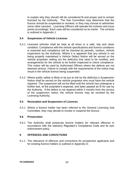to explain why they should still be considered fit and proper and to remain licensed by the Authority. The Sub Committee may determine that the licence should be suspended or revoked, or they may choose to administer some other sanction. Licensing Officers will operate the scheme and issue points accordingly. Each case will be considered on its merits. The scheme is outlined in Appendix J.

# **5.4 Suspension of Vehicle Licences**

- 5.4.1 Licensed vehicles shall be kept at all times in a safe, tidy and clean condition. Compliance with the vehicle specifications and licence conditions is essential and compliance will be checked by periodic, random, vehicle inspections by the Authority. Where it is apparent that any vehicle is not being properly maintained a Vehicle Defect Notice will be served on the vehicle proprietor setting out the defect(s) that need to be rectified, and arrangements for the vehicle to be further inspected to check compliance. This notice will be used by Authorised Officers where the defects are not deemed serious. Failure to comply with the requirements of the notice may result in the vehicle licence being suspended.
- 5.4.2 Where public safety is likely to be put at risk by the defect(s) a Suspension Notice shall be served on the vehicle proprietor who must have the vehicle repaired. The suspension will not be lifted until the vehicle has undergone a further test, at the proprietor's expense, and been passed as fit for use by the Authority. If the defect is not repaired within 2 months from the service of the suspension notice, the vehicle licence may be revoked by the Licensing Authority.

#### **5.5 Revocation and Suspension of Licences**

5.5.1 Where a licence holder has been referred to the General Licensing Sub Committee, they may decide to revoke or suspend the licence.

#### **5.6 Prosecution**

5.6.1 The Authority shall prosecute licence holders for relevant offences in accordance with the statutory Regulator's Compliance Code and its own enforcement policy.

# **6 OFFENCES AND CONVICTIONS**

6.1.1 The relevance of offences and convictions for prospective applicants and for existing licence holders is outlined in Appendix D.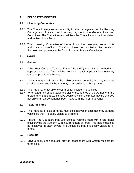# **7 DELEGATED POWERS**

#### **7.1 Licensing Committee**

- 7.1.1 The Council delegates responsibility for the management of the Hackney Carriage and Private Hire Licensing regime to the General Licensing Committee. The Committee also advises the Council about the formulation and review of this Policy.
- 7.1.2 The Licensing Committee of the Authority has delegated some of its authority to act to officers. The Council itself decides Policy. Full details of the delegated powers can be found in the Authority's Constitution.

#### **8 FARES**

#### **8.1 General**

- 8.1.1 A Hackney Carriage Table of Fares ("the tariff") is set by the Authority. A copy of the table of fares will be provided to each applicant for a Hackney Carriage proprietor's licence.
- 8.1.2 The Authority shall review the Table of Fares periodically. Any changes shall be advertised by the Authority in accordance with legislation.
- 8.1.3 The Authority is not able to set fares for private hire vehicles
- 8.1.4 When a journey ends outside the district boundaries of the Authority a fare greater than that that would have been shown on the meter may be charged but only if an agreement has been made with the hirer in advance.

#### **8.2 Table of Fares**

- 8.2.1 The Authority's Table of Fares, must be displayed in each hackney carriage vehicle so that it is easily visible to all hirers.
- 8.2.2 Private Hire Operators that use licensed vehicles fitted with a fare meter shall provide the Authority with a current table of fares. This table must also be displayed in each private hire vehicle so that it is easily visible to all hirers.

#### **8.3 Receipts**

8.3.1 Drivers shall, upon request, provide passengers with written receipts for fares paid.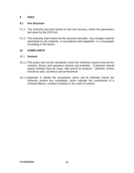# **9 FEES**

# **9.1 Fee Structure**

- 9.1.1 The Authority sets fees based on full cost recovery, within the parameters laid down by the 1976 Act.
- 9.1.2 The Authority shall review the fee structure annually. Any changes shall be advertised by the Authority, in accordance with legislation, in a newspaper circulating in the district.

#### **10 COMPLAINTS**

#### 10.1 **General**

- 10.1.1 This policy sets out the standards, which the Authority requires that all hire vehicles, drivers and operators achieve and maintain. Customers should expect vehicles that are clean, safe and fit for purpose. Likewise, drivers should be safe, courteous and professional.
- 10.1.2 Appendix O details the procedures which will be followed should the Authority receive any complaints, which indicate the commission of a criminal offence, a breach of policy or the code of conduct.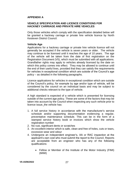#### **APPENDIX A**

#### **VEHICLE SPECIFICATION AND LICENCE CONDITIONS FOR HACKNEY CARRIAGE AND PRIVATE HIRE VEHICLES**

Only those vehicles which comply with the specification detailed below will be granted a hackney carriage or private hire vehicle licence by North Kesteven District Council.

#### **Vehicle Age**

Applications for a hackney carriage or private hire vehicle licence will not generally be accepted if the vehicle is seven years or older. The vehicle may continue to be licensed until it reaches the age of 10 years. The age of the vehicle will be taken from the date of first registration on the Registration Document (V5), which must be submitted with all applications. Grandfather rights may apply to vehicles already licensed by the date on which this policy comes into effect. They may be allowed to continue until the end of their useful lives, provided that they can satisfy the requirements for vehicles in exceptional condition which are outside of the Council's age policy – as detailed in the following paragraphs.

Licence applications for vehicles in exceptional condition which are outside of the Council's policy, for example by age and/or type of vehicle, will be considered by the council on an individual basis and may be subject to additional checks relevant to the type of vehicle.

A high standard is expected of a vehicle which is presented for licensing outside of the current age policy. These are some of the factors that may be taken into account by the Council when inspecting any such vehicle prior to licence issue, the vehicle has:

- 1. A full service history in accordance with the manufacturer's service schedule and/or supporting documentation evidencing a regular, preventative maintenance schedule. This can be in the form of a stamped service history book or invoices which show the vehicle registration number
- 2. No rust, significant dents or scratches
- 3. An excellent interior which is safe, clean and free of holes, cuts or tears, excessive wear and odour
- 4. Undergone an independent engineer's, AA or RAC inspection at the applicant's own cost who must submit the report to the Council. Reports are acceptable from an engineer who has any of the following qualifications
	- Fellow or Member of the Institute of the Motor Industry (FIMI) (MIMI)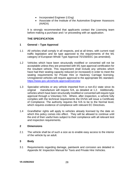- Incorporated Engineer (I.Eng)
- Associate of the Institute of the Automotive Engineer Assessors (AIAEA)

It is strongly recommended that applicants contact the Licensing team before making a purchase and / or proceeding with an application.

# **THE SPECIFICATION**

#### **1 General – Type Approval**

- 1.1 All vehicles shall comply in all respects, and at all times, with current road traffic legislation and be type approved to the requirements of the M1 category of European Whole Type Approval 70/156/EEC (as amended).
- 1.2 Vehicles which have been structurally modified or converted will not be acceptable unless they are presented with M1 type approval certification for the resultant vehicle. This requirement shall include any vehicles which have had their seating capacity reduced (or increased) in order to meet the seating requirements for Private Hire or Hackney Carriage licensing. Unregistered vehicles will require approval to the appropriate M1 standard. <https://www.gov.uk/vehicle-approval/overview>
- 1.3 Specialist vehicles or any vehicle imported from a non-EU state since its original manufacture will require IVA, as detailed at 1.2. Additionally, vehicles which have been structurally modified or converted will require type approval through a Voluntary IVA. Where, after inspection, a vehicle fully complies with the technical requirements the DVSA will issue a Certificate of Compliance. The authority requires the IVA to be to the Normal level, which requires evidence of compliance with relevant EC Directives.
- 1.4 Grandfather rights will apply to vehicles already licensed by the date on which this policy comes into effect. They will be allowed to continue until the end of their useful lives subject to their compliance with all relevant test and inspection requirements.

#### **2 Dimensions**

2.1 The vehicle shall be of such a size as to enable easy access to the interior of the vehicle by an adult.

#### **3 Body**

3.1 Requirements regarding damage, paintwork and corrosion are detailed in Appendix M: Inspection Manual for Taxis and Private Hire Vehicles.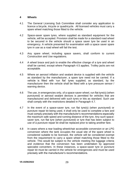#### **4 Wheels**

- 4.1 The General Licensing Sub Committee shall consider any application to licence a bicycle, tricycle or quadricycle. All licensed vehicles must carry a spare wheel matching those fitted to the vehicle.
- 4.2 Space-saver spare tyres, where supplied as standard equipment for the vehicle, will be accepted. Provision shall be made for a standard road wheel to be secured in the vehicle should a space saver tyre be used in an emergency. A vehicle presented for examination with a space saver spare tyre in use as a road wheel will fail the test.
- 4.3 Any spare wheel, including space savers, shall conform to current Construction and Use regulations.
- 4.4 A wheel brace and jack to enable the effective change of a tyre and wheel shall be carried, except where Paragraph 4.5 applies. Trolley jacks are not acceptable.
- 4.5 Where an aerosol inflation and sealant device is supplied with the vehicle as standard by the manufacturer, a spare tyre need not be carried. If a vehicle is fitted with 'run flat' tyres supplied, as standard, by the manufacturer then the vehicle shall be fitted with a tyre pressure sensor / warning device.
- 4.6 The use, in emergencies only, of a space-saver wheel, run flat tyre(s) (when punctured) or aerosol sealant devices is permitted for vehicles that are manufactured and delivered with such tyres or kits as standard. Such use shall comply with the restrictions detailed in Paragraph 4.7.
- 4.7 In the event of a space-saver tyre, run flat tyre(s) (when punctured) or puncture repair kit being used, it shall only be used to complete a fare and must comply precisely with the manufacturer's recommendations especially the maximum safe speed and running distance of the tyre. Any such spacesaver tyre, run flat tyre (when punctured) or tyre that has been subject to use of a puncture repair kit shall be replaced prior to taking another fare.
- 4.8 In cases where a rear loading wheelchair accessible conversion or an LPG conversion where the tank occupies the usual site of the spare wheel is considered suitable to be licensed, the vehicle will be considered exempt from the requirement to carry a spare wheel matching those fitted to the vehicle. This would be subject to the vehicle meeting the luggage criteria and evidence that the conversion has been undertaken by approved specialist converters. In these instances, a space-saver tyre or puncture repair kit must be carried in the vehicle for emergencies and must be used precisely with the manufacturer's recommendations.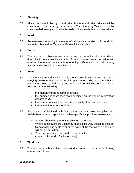# **5 Steering**

5.1 All vehicles should be right hand drive, but left-hand drive vehicles will be considered on a case by case basis. The Licensing Team should be consulted before any application is made to licence a left-hand drive vehicle.

# **6 Interior**

6.1 Requirements regarding the interior of vehicles are detailed in Appendix M: Inspection Manual for Taxis and Private Hire Vehicles.

# **7 Doors**

7.1 The vehicle must have at least four passenger doors including the drivers' door. Each door must be capable of being opened from the inside and outside. Doors shall be capable of opening sufficiently wide to allow easy access and egress from the vehicle.

# **8 Seats**

- 8.1 The licensing authority will normally licence only those vehicles capable of carrying between four and up to eight passengers. The actual number of passengers to be carried in any one vehicle will normally be determined with reference to the following;
	- the manufacturers recommendations
	- the number of passenger seats specified on the vehicle registration document V5
	- the number of available seats and suitably fitted seat belts; and
	- the relevant vehicle specification
- 8.2 Each seat shall be fitted with fully operational seat belts, compliant with British Standards, except where the law specifically provides an exemption.
	- Seating should be properly cushioned or covered
	- Where seat covers are used they shall be securely affixed to the seat
	- Rearward facing seats over or rearward of the rear wheels and axles will not be permitted
	- Sideways mounted seats will not be permitted (see also Appendix B – Limousines)

# **9 Windows**

9.1 The vehicle must have at least one window on each side capable of being opened and closed.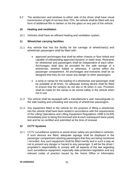9.2 The windscreen and windows to either side of the driver shall have visual transmission of light of not less than 70%. No vehicle shall be fitted with any form of additional film to darken or tint the glass on any part of the vehicle.

# **10 Heating and ventilation**

10.1 Vehicles shall have an efficient heating and ventilation system.

# **11 Wheelchair carrying facilities**

- 11.1 Any vehicle that has the facility for the carriage of wheelchair(s) and wheelchair passengers shall be fitted with;
	- approved anchorages that shall be either chassis or floor linked and capable of withstanding approved dynamic or static tests. Restraints for wheelchair and passengers shall be independent of each other. Anchorages shall also be provided for the safe storage of a wheelchair, whether folded or otherwise, if carried within the passenger compartment. All anchorages and restraints shall be so designed that they do not cause any danger to other passengers
	- a ramp or ramps for the loading of a wheelchair and passenger shall be available at all times. An adequate locking device shall be fitted to ensure that the ramp(s) do not slip or tilt when in use. Provision shall be made for the ramps to be stored safely in the vehicle when not in use
- 11.2 The vehicle shall be equipped with a manufacturer's user manual/guide on the safe loading and unloading and security of wheelchair passengers.
- 11.3 Any equipment fitted to the vehicle for the purpose of lifting a wheelchair into the vehicle shall have been tested in accordance with the requirements of the Lifting Operations and Lifting Equipment Regulations 1998 (LOLER) immediately prior to being first licensed and at each subsequent twice yearly test and be so certified and submitted at the time of renewal.

# **12 CCTV Systems**

12.1 CCTV surveillance systems to assist driver safety are permitted in vehicles. If such devices are fitted, adequate signage shall be displayed in the passenger compartment advising passengers that they are being monitored / recorded. Any such equipment shall be fitted overtly and in such a way as not to present any danger or hazard to any passenger. It will be the driver / proprietor's responsibility to comply with all aspects of the law regarding such surveillance equipment, especially data protection legislation and any relevant codes of practice issued by the Home Office or Information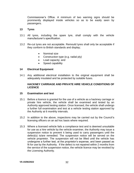Commissioner's Office. A minimum of two warning signs should be prominently displayed inside vehicles so as to be easily seen by passengers.

# **13 Tyres**

- 13.1 All tyres, including the spare tyre, shall comply with the vehicle manufacturer's specification.
- 13.2 Re-cut tyres are not acceptable. Remould tyres shall only be acceptable if they conform to British standards and display;
	- Nominal size
	- Construction type (e.g. radial ply)
	- Load capacity; and
	- Speed capability

#### **14 Electrical Equipment**

14.1 Any additional electrical installation to the original equipment shall be adequately insulated and be protected by suitable fuses.

# **HACKNEY CARRIAGE AND PRIVATE HIRE VEHICLE CONDITIONS OF LICENCE**

#### **15 Examination and test**

- 15.1 Before a licence is granted for the use of a vehicle as a hackney carriage or private hire vehicle, the vehicle shall be examined and tested by an Authority approved testing station. Once licensed, the vehicle shall undergo a further full examination and test at a vehicle testing station approved by the Authority at 6 monthly intervals.
- 15.2 In addition to the above, inspections may be carried out by the Council's licensing officers on an ad hoc basis where required.
- 15.3 Where a licensed vehicle fails a compliance test and is deemed unsuitable for use as a hire vehicle by the vehicle examiner, the Authority may issue a suspension notice to prevent it being used to carry passengers until the defect(s) is/are remedied. The suspension notice will be served on the vehicle proprietor. The suspension will not be lifted until the vehicle has undergone a further test, at the proprietor's expense, and been passed as fit for use by the Authority. If the defect is not repaired within 2 months from the service of the suspension notice, the vehicle licence may be revoked by the Licensing Authority.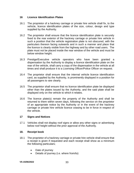#### **16 Licence Identification Plates**

- 16.1 The proprietor of a hackney carriage or private hire vehicle shall fix, to the vehicle, licence identification plates of the size, colour, design and type supplied by the Authority.
- 16.2 The proprietor shall ensure that the licence identification plate is securely fixed to the rear exterior of the hackney carriage or private hire vehicle in such a position that the vehicle registration plate is not obscured, with the particulars thereon facing outwards and in such a manner and place that the licence is clearly visible from the highway and by other road users. The plate must not be placed inside the rear window of the vehicle and must be below window height.
- 16.3 Prestige/Executive vehicle operators who have been granted a dispensation by the Authority to display a licence identification plate on the rear of the vehicle, shall carry a copy of the dispensation in the vehicle at all times and shall produce it to a Licensing Officer/Police Officer on request.
- 16.4 The proprietor shall ensure that the internal vehicle licence identification card, as supplied by the Authority, is prominently displayed in a position for all passengers to see clearly.
- 16.5 The proprietor shall ensure that no licence identification plate be displayed other than the plates issued by the Authority, and the said plate shall be displayed only on the vehicle to which it relates.
- 16.6 The licence plate(s) remain the property of the Authority and shall be returned to them within seven days, following the service on the proprietor of an appropriate notice by the Authority or in the event of the hackney carriage or private hire vehicle licence ceasing to be in force in respect of the vehicle.

#### **17 Signs and Notices**

17.1 Vehicles shall not display roof signs or allow any other signs or advertising below roof height without the prior approval of the Authority.

#### **18. Receipt book**

- 18.1 The proprietor of a hackney carriage or private hire vehicle shall ensure that a receipt is given if requested and each receipt shall show as a minimum the following particulars;
	- Date of journey
	- Details of journey (i.e. where from/to)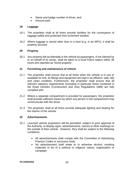- Name and badge number of driver; and
- Amount paid

#### **19 Luggage**

- 19.1 The proprietor shall at all times provide facilities for the conveyance of luggage safely and protected from inclement weather.
- 19.2 Where luggage is stored other than in a boot (e.g. in an MPV), it shall be properly secured.

#### **20 Property**

20.1 Any property left accidentally in the vehicle by passengers, if not claimed by or on behalf of its owner, shall be taken to a local Police station within 48 hours and reported as 'found property'.

#### **21 Furnishing and maintenance of vehicle**

- 21.1 The proprietor shall ensure that at all times when the vehicle is in use or available for hire, its fittings and equipment are kept in an efficient, safe, tidy and clean condition. Furthermore, the proprietor shall ensure that all relevant statutory requirements (including in particular those contained in the Road Vehicles (Construction and Use) Regulations 1986) are fully complied with.
- 21.2 Where a separate compartment is provided for passengers, the proprietor shall provide sufficient means by which any person in the compartment may communicate with the driver.
- 21.3 The proprietor shall at all times provide adequate lighting and heating for the interior of the vehicle.

#### **22 Advertisements**

- 22.1 Licensed vehicle proprietors will be permitted, subject to prior approval of the Authority, to display signs, advertisements, notices or other markings on the outside of their vehicle. However, they shall be subject to the following conditions;
	- All advertisements shall comply with the Committee of Advertising Practice Codes or successor body
	- No advertisement shall relate to or advertise alcohol, smoking materials or be of a political or religious nature, organization or campaign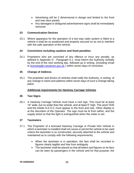- Advertising will be 2 dimensional in design and limited to the front and rear door panels
- Any damaged or disfigured advertisement signs shall be immediately removed

# **23 Communication Devices**

23.1 Where apparatus for the operation of a two-way radio system is fitted to a vehicle it shall be so positioned and properly secured so as not to interfere with the safe operation of the vehicle.

# **24 Convictions including cautions and fixed penalties**

24.1 Proprietors who are convicted of any offence or incur any penalty, as defined in Appendix D - Paragraph 6.1, must inform the Authority verbally by the end of the next working day, followed up in writing, (including email to [licensing@n-kesteven.gov.uk](mailto:licensing@n-kesteven.gov.uk) ) within seven days of conviction.

# **25 Change of Address**

25.1 The proprietor and drivers of vehicles shall notify the Authority, in writing, of any change in name and address within seven days of such a change taking place.

# **Additional requirements for Hackney Carriage Vehicles**

#### **26 Taxi Signs**

26.1 A Hackney Carriage Vehicle must have a roof sign. This must be at least 14" wide, but no wider than the vehicle, and at least 5" high. The word TAXI and the initials N.K.D.C must appear to the front and rear. Other display is at the discretion of the Operator. The sign must be lit from within, and the supply wired so that the light is extinguished when the meter is set.

# **27 Taximeters**

- 27.1 The Proprietor of a licensed Hackney Carriage or Private Hire Vehicle in which a taximeter is installed shall not cause or permit the vehicle to be used unless the taximeter is so constructed, securely attached to the vehicle and maintained as to comply with the following requirements;
	- When the taximeter is in operation, the fare shall be recorded in figures clearly legible and free from ambiguity
	- The taximeter shall be placed so that all letters and figures on its face can be seen by passengers in the vehicle and for that purpose; the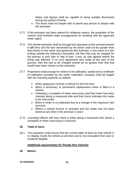letters and figures shall be capable of being suitably illuminated during any period of hiring

- The driver shall not tamper with or permit any person to tamper with the taximeter
- 27.5 If the taximeter has been altered for whatever reason, the proprietor of the vehicle shall forthwith make arrangements for resetting with the approved meter agent.
- 27.6 The vehicle taximeter shall be brought into operation at the commencement of **all** hires and the fare demanded by the driver shall not be greater than that shown on the meter and agreed by this Authority. In the event of a hire ending outside the Authority's boundary, the fare that may be charged for the journey is such fare or rate of fare, if any, as was agreed before the hiring was effected. If no such agreement was made at the start of the journey, then the fare to be charged should be no greater than that that would have been shown on the taximeter.
- 27.7 Proprietors shall arrange for meters to be calibrated, sealed and a certificate of calibration provided by the meter calibration company shall be lodged with the licensing authority as follows:
	- When applying to license a vehicle for the first time
	- When a temporary or permanent replacement meter is fitted in a vehicle
	- Following a complaint of meter inaccuracy and that meter has been checked along a measured mile and that check indicates the meter to be inaccurate
	- When a meter is re-calibrated due to a change in the maximum fare structure
	- Where a vehicle licence is renewed and the meter has not been tested at any time in the previous 3 years
- 27.8 Licensing Officers will only check a meter along a measured mile where a complaint of meter inaccuracy is received.

#### **28. Table of fares**

28.1 The proprietor shall ensure that the current table of fares for that vehicle is on display inside the vehicle at all times and is not concealed from view or rendered illegible.

#### **Additional requirements for Private Hire Vehicles**

**29. Meters**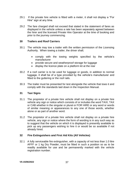- 29.1 If the private hire vehicle is fitted with a meter, it shall not display a "For Hire" sign at any time.
- 29.2 The fare charged shall not exceed that stated in the statement of fares as displayed in the vehicle unless a rate has been separately agreed between the hirer and the licensed Private Hire Operator at the time of booking and prior to the journey commencing.

### **30 Trailers and Roof Carriers**

- 30.1 The vehicle may tow a trailer with the written permission of the Licensing Authority. When towing a trailer, the driver shall;
	- comply with the towing weights specified by the vehicle's manufacturer
	- provide secure and weatherproof storage for luggage
	- display the licence plate on a platform kit at the rear
- 30.2 If a roof carrier is to be used for luggage or goods, in addition to normal luggage, it shall be of a type provided by the vehicle's manufacturer and fitted to the guttering or the roof rails.
- 30.3 The trailer must be presented for test alongside the vehicle that tows it and comply with the standards laid down in the Inspection Manual.

# **31 Taxi Signs**

- 31.1 The proprietor of a private hire vehicle shall not display on a private hire vehicle any sign or notice which consists of or includes the word TAXI, TAX or CAB whether in the singular or plural or FOR HIRE or any word or words of similar meaning or appearances to any one of those words, whether alone or as part of another word.
- 31.2 The proprietor of a private hire vehicle shall not display on a private hire vehicle, any sign or notice where the form of wording is in any such way as to suggest that the vehicle on which it is displayed is presently available to pick up any passengers wishing to hire it or would be so available if not already hired.

### **32 Fire Extinguishers and First Aid Kits (All Vehicles)**

32.1 A fully serviceable fire extinguisher, with a capacity of not less than 1.0 litre AFFF or 1 kg Dry Powder, must be fitted in such a position so as to be readily available for use and be permanently marked with the vehicle registration number.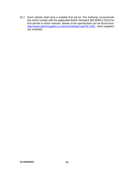32.2 Each vehicle shall carry a suitable first aid kit. The Authority recommends kits which comply with the applicable British Standard (BS 8599-2:2014) for first aid kits in motor vehicles, details of the specification can be found here: <http://www.stjohnsupplies.co.uk/news/default.asp?id=1951> , other suppliers are available.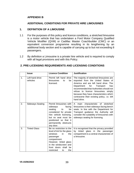## **APPENDIX B**

## **ADDITIONAL CONDITIONS FOR PRIVATE HIRE LIMOUSINES**

### **1. DEFINITION OF A LIMOUSINE**

- 1.1 For the purposes of this policy and licence conditions, a stretched limousine is a motor vehicle that has undertaken a Ford Motor Company Qualified Vehicle Modifier (QVM) or Cadillac Master Coachbuilder (CMC) or an equivalent conversion programme resulting in its lengthening by an additional body section and is capable of carrying up to but not exceeding 8 passengers.
- 1.2 By definition a Limousine is a private hire vehicle and is required to comply with all legal provisions and with this Policy.

|                | <b>Issue</b>                | <b>Licence Condition</b>                                                                                                                                                                                              | <b>Justification</b>                                                                                                                                                                                                                                                                                                                                       |
|----------------|-----------------------------|-----------------------------------------------------------------------------------------------------------------------------------------------------------------------------------------------------------------------|------------------------------------------------------------------------------------------------------------------------------------------------------------------------------------------------------------------------------------------------------------------------------------------------------------------------------------------------------------|
| $\mathbf{1}$ . | Left hand drive<br>vehicles | Permit left hand drive<br>limousines<br>be<br>to<br>licensed.                                                                                                                                                         | The majority of stretched limousines are<br>imported from the United States of<br>America and are left hand drive. The<br>Department<br>for<br>Transport<br>has<br>recommended that Authorities should not<br>refuse to licence limousines simply<br>because they have characteristics which<br>contravene their existing policy, i.e. left<br>hand drive. |
| 2.             | <b>Sideways Seating</b>     | Permit limousines with<br>sideways<br>facing<br>seating<br>be<br>to<br>considered for private<br>hire vehicle licensing,<br>but no seat must be<br>positioned so that it<br>permanently obstructs<br>any door.        | main<br>characteristic of<br>stretched<br>A<br>limousines is their sideways facing bench<br>seats. In line with the Department for<br>Transport guidance the Authority will<br>consider the suitability of limousines with<br>sideways seating for licensing.                                                                                              |
| 3.             | <b>Tinted Glass</b>         | Be no restriction to the<br>level of tint for the glass<br>windows<br>in.<br>the<br>passenger<br>compartment.<br>However, tinted glass<br>in the windscreen and<br>front doors shall<br>be<br>restricted<br>the<br>to | It is recognised that the privacy provided<br>tinted glass in the passenger<br>by<br>compartment is a central characteristic of<br>a limousine.                                                                                                                                                                                                            |

#### **2. PRE-LICENSING REQUIREMENTS AND LICENSING CONDITIONS**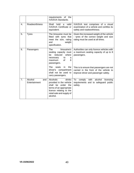|                  |                                 | requirements<br>of<br>the<br><b>IVA/SVA Standards.</b>                                                                                                                 |                                                                                                                             |
|------------------|---------------------------------|------------------------------------------------------------------------------------------------------------------------------------------------------------------------|-----------------------------------------------------------------------------------------------------------------------------|
| 4.               | <b>Roadworthiness</b>           | valid<br>hold<br>Shall<br>a<br><b>IVA/SVA Certificate or</b><br>equivalent.                                                                                            | IVA/SVA test comprises of a visual<br>examination of a vehicle and certifies its<br>safety and roadworthiness.              |
| 5.               | <b>Tyres</b>                    | The limousine must be<br>fitted with tyres that<br>meet the size, rating<br>and<br>weight<br>specification.                                                            | Given the increased weight of the vehicle<br>- tyres of the correct weight and size<br>rating must be used at all times.    |
| 6.               | Passengers                      | limousine's<br><b>The</b><br>seating capacity must<br>reduced<br>where<br>be.<br>to<br>necessary<br>a<br>maximum<br>of<br>8<br>passengers.                             | Authorities can only licence vehicles with<br>a maximum seating capacity of up to 8<br>passengers.                          |
|                  |                                 | <b>The</b><br>the<br>seats<br>in<br>driver's<br>compartment<br>shall not be used to<br>carry passengers.                                                               | This is to ensure that passengers are not<br>carried in the front of the vehicle to<br>improve driver and passenger safety. |
| $\overline{7}$ . | Alcohol<br>and<br>Entertainment | Alcoholic<br>drinks<br>provided in the vehicle<br>shall be<br>under the<br>terms of an appropriate<br>licence relating to the<br>retail sale and supply of<br>alcohol. | To<br>with<br>alcohol<br>comply<br>licensing<br>requirements and to safeguard public<br>safety.                             |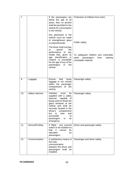| 7.  |                 | If the passengers are<br>below the age of 18<br>years, then no alcohol<br>shall be permitted in the<br>vehicle for consumption<br>in the vehicle.<br>Any glassware in the<br>vehicle must be made<br>of strengthened glass<br>or polycarbonate.                                        | Protection of children from harm<br>Public safety                                                      |
|-----|-----------------|----------------------------------------------------------------------------------------------------------------------------------------------------------------------------------------------------------------------------------------------------------------------------------------|--------------------------------------------------------------------------------------------------------|
|     |                 | The driver shall not play<br>permit<br>the<br>or<br>performance of<br>any<br>media that, given its<br>age classification<br>or<br>content, is unsuitable<br>for the age of any of the<br>passengers<br>in.<br>the<br>vehicle.                                                          | To safeguard children and vulnerable<br>adult<br>passengers<br>from<br>viewing<br>unsuitable material. |
| 9.  | Luggage         | Ensure<br>that<br>loose<br>luggage is not carried<br>within the passenger<br>compartment of<br>the<br>vehicle.                                                                                                                                                                         | Passenger safety.                                                                                      |
| 10. | Safety Hammer   | Vehicles<br>must<br>be<br>supplied with a safety<br>hammer, capable<br>of<br>being used to break the<br>glass windows of the<br>vehicle and shall be<br>securely located in the<br>driver's compartment<br>but in view and<br>accessible<br>to<br>passengers<br>in<br>an<br>emergency. | Passenger safety.                                                                                      |
| 11. | Sunroof/Ceiling | If fitted - any sunroof<br>switch to be isolated so<br>that<br>it.<br>cannot<br>be<br>operated<br>by<br>passengers.                                                                                                                                                                    | Driver and passenger safety.                                                                           |
| 12. | Communication   | A satisfactory means of<br>two-way<br>communication<br>between the driver and<br>shall<br>passengers<br>be<br>installed.                                                                                                                                                               | Passenger and driver safety.                                                                           |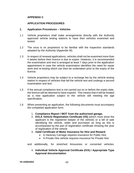## **APPENDIX C**

## **APPLICATION PROCEDURES**

#### **1. Application Procedures – Vehicles**

- 1.1 Vehicle proprietors shall make arrangements directly with the Authority approved vehicle testing stations to have their vehicles examined and tested.
- 1.2 The onus is on proprietors to be familiar with the inspection standards adopted by the Authority (Appendix M).
- 1.3 In respect of renewal applications, vehicles shall not be examined more than 4 weeks before their licence is due to expire. However, it is recommended the examination and test is arranged at least 7 days prior to the application appointment in case the vehicle examination identifies the need for repair work and re-testing which can then be undertaken prior to the expiry of the licence.
- 1.4 Vehicle proprietors may be subject to a recharge fee by the vehicle testing station in respect of vehicles that fail the vehicle test and undergo a second examination and test.
- 1.5 If the annual compliance test is not carried out on or before the expiry date, the licence will be deemed to have expired. This means that it will be treated as a new application subject to the vehicle still meeting the age specification.
- 1.6 When presenting an application, the following documents must accompany the completed application form;
	- 1. **Compliance Report / MOT from the authorised garage.**
	- 2. **DVLA Vehicle Registration Certificate (V5)** (which must show the applicant is the registered keeper of the vehicle) or a bill of sale identifying the vehicle, seller and purchaser as long as this is accompanied by the part of registration certificate showing the year of registration of the vehicle
	- 3. **Valid Certificate of Motor Insurance for Hire and Reward**;
		- A Hackney Carriage requires insurance for Public Hire
		- A Private Hire vehicle requires insurance for Private Hire

and additionally, for stretched limousines or converted vehicles;

4. **Individual Vehicle Approval Certificate (IVA) / Appropriate Type Approval documentation**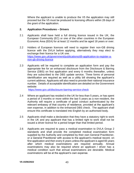Where the applicant is unable to produce the V5 the application may still proceed but the V5 must be produced to licensing officers within 28 days of the grant of the application.

### **2. Application Procedures – Drivers**

- 2.1 Applicants shall have held a full driving licence issued in the UK, the European Community (EC) or one of the other countries in the European Economic Area (EEA) for at least 12 months and be aged 18 years or over.
- 2.2 Holders of European licences will need to register their non-GB driving licence with the DVLA before applying, alternatively they may elect to exchange their licence for a UK one. [https://www.gov.uk/government/publications/d9-application-to-register-a](https://www.gov.uk/government/publications/d9-application-to-register-a-non-gb-driving-licence)[non-gb-driving-licence](https://www.gov.uk/government/publications/d9-application-to-register-a-non-gb-driving-licence)
- 2.3 Applicants will be required to complete an application form and pay the appropriate fee for an enhanced disclosure from the Disclosure & Barring Service (DBS) on first application and every 6 months thereafter, unless they are subscribed to the DBS update service. Three forms of personal identification are required as well as a utility bill showing the applicant's current address. Applicants will also need to provide their national insurance number. Details of acceptable identification are detailed on the Government website:

<https://www.gov.uk/disclosure-barring-service-check>

- 2.4 Where an applicant has resided in the UK for less than 5 years, or has spent a period of 3 months or more within the last 5 years as a non-resident, the Authority will require a certificate of good conduct authenticated by the relevant embassy of that country of residence, provided at the applicant's own expense, in addition to the enhanced DBS check. The applicant shall ensure this certificate is translated into English by an authorised body.
- 2.5 Applicants shall make a declaration that they have a statutory right to work in the UK and any applicant that has a limited right to work shall not be issued a driver licence for a period longer than that limited period.
- 2.6 Applicants are required to pass a medical examination to DVLA Group 2 standards and shall provide the completed medical examination form supplied by the Authority and completed by their own General Practitioner, or a General Practitioner with access to the applicant's medical record, on first application and then every 6 years unless the applicant is aged 65 years after which medical examinations are required annually. Annual examinations may also be required where an applicant / driver has a medical condition such that annual examinations are desirable. Medical examinations will be at the applicant's own expense.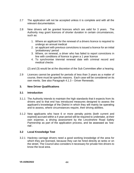- 2.7 The application will not be accepted unless it is complete and with all the relevant documentation.
- 2.8 New drivers will be granted licences which are valid for 3 years. The Authority may grant licences of shorter duration in certain circumstances, such as:
	- 1. Where an applicant for the renewal of a drivers licence is required to undergo an annual medical
	- 2. an applicant with previous convictions is issued a licence for an initial 'probationary' period
	- 3. Where, on renewal, a driver who has failed to report convictions in line with conditions of licence is given a 1 year licence
	- 4. To synchronise triennial renewal date with criminal record and medical checks

(2) and (3) would be at the discretion of the Sub Committee after a hearing.

2.9 Licences cannot be granted for periods of less than 3 years as a matter of course, there must be specific reasons. Each case will be considered on its own merits. See also Paragraph 4.1.3 – Driver Renewals.

## **3. New Driver Qualifications**

### **3.1 Introduction**

- 3.1.1 The Authority intends to maintain the high standards that it expects from its drivers and to that end has introduced measures designed to assess the applicant's knowledge of the District in which they will mainly be operating and to assess, where circumstances require, their driving abilities.
- 3.1.2 New applicants who have 6 or more penalty points (both current and expired) accrued within a 4 year period will be required to undertake, at their own expense, a driving assessment by the Lincolnshire Road Safety Partnership as part of the application process, and be assessed as 'lowrisk'.

# **3.2 Local Knowledge Test**

3.2.1 Hackney carriage drivers need a good working knowledge of the area for which they are licensed, because they can be hired directly at ranks or on the street. The Council also considers it necessary for private hire drivers to know the local area.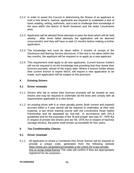- 3.2.2 In order to assist the Council in determining the fitness of an applicant to hold a hire driver's licence, applicants are required to undertake a test of basic reading, writing, arithmetic, and a test to challenge their knowledge of the area within the district of North Kesteven and the wider Lincolnshire area.
- 3.2.3 Applicants will be allowed three attempts to pass the tests which will be held weekly. After three failed attempts the application will be deemed unsuccessful, and they will have to wait 12 months before making a further application.
- 3.2.4 The knowledge test must be taken within 2 months of receipt of the Disclosure and Barring Service disclosure. If this test is not taken within the two months, the applicant will be required to re-apply as a new applicant.
- 3.2.5 This requirement shall apply to all new applicants. Current licence holders will not be required to sit the knowledge test providing that they renew their licences promptly, ahead of the expiry date. Where a licence holder allows their current licence to expire NKDC will require a new application to be made, such application will be subject to this provision.

# **4 Existing Drivers**

# **4.1 Driver renewals**

- 4.1.1 Drivers who fail to renew their licences promptly will be treated as new drivers and may be required to undertake all the tests and comply with all requirements applicable to a new driver.
- 4.1.2 An existing driver with 6 or more penalty points (both current and expired) accrued within a 4 year period will be required to undertake, at their own expense, a taxi driver training course with the Lincolnshire Road Safety Partnership and be assessed as 'low-risk'. In accordance with DVLA guidelines and for the purposes of the 'fit and proper' test (sec 51, 1976 Act in respect of private hire drivers and sec 59, 1976 Act in respect of hackney carriage drivers), the points shall remain accountable for four years.

# **5 Tax Conditionality Checks**

# **5.1 Driver renewals**

5.1.1 All applicants to renew a Combined Hire Driver licence will be required to provide a unique code, generated from the following website [https://www.gov.uk/guidance/complete-a-tax-check-for-a-taxi-private](https://www.gov.uk/guidance/complete-a-tax-check-for-a-taxi-private-hire-or-scrap-metal-licence)[hire-or-scrap-metal-licence](https://www.gov.uk/guidance/complete-a-tax-check-for-a-taxi-private-hire-or-scrap-metal-licence) The code will confirm if they are appropriately registered for tax purposes.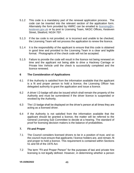- 5.1.2 This code is a mandatory part of the renewal application process. The code can be inserted into the relevant section of the application form. Alternately the form provided by HMRC can be emailed to [licensing@n](mailto:licensing@n-kesteven.gov.uk)[kesteven.gov.uk](mailto:licensing@n-kesteven.gov.uk) or by post to Licensing Team, NKDC Offices, Kesteven Street, Sleaford, NG34 7EF.
- 5.1.3 If the tax code is not provided, or is incorrect and unable to be checked, the Licensing Team will not process the application to renew the licence.
- 5.1.4 It is the responsibility of the applicant to ensure that this code is obtained in good time and provided to the Licensing Team in a clear and legible format. Photographs of the check code will not be accepted.
- 5.1.5 Failure to provide the code will result in the licence not being renewed on time and the applicant not being able to drive a Hackney Carriage or Private hire Vehicle until the check is successfully completed and the licence renewed.

### **6 The Consideration of Applications**

- 6.1 If the Authority is satisfied from the information available that the applicant is a fit and proper person to hold a licence, the Licensing Officer has delegated authority to grant the application and issue a licence.
- 6.2 A driver I.D badge will also be issued which shall remain the property of the Authority and must be surrendered if the driver licence is suspended or revoked by the Authority.
- 6.3 The I.D badge shall be displayed on the driver's person at all times they are acting as a licensed driver.
- 6.4 If the Authority is not satisfied from the information available that the applicant should be granted a licence, the matter will be referred to the General Licensing Sub Committee to decide at a hearing. The standard of proof for licensing decision makers is the balance of probabilities.

# **7. Fit and Proper**

- 7.1 The Council considers licensed drivers to be in a position of trust, and so the council must ensure that applicants / licence holders are, and remain, fit and proper to hold a licence. This requirement is contained within Sections 51 and 59 of the 1976 Act.
- 7.2 The term "Fit and Proper Person" for the purposes of taxi and private hire licensing is not legally defined. However, in determining whether a person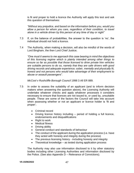is fit and proper to hold a licence the Authority will apply this test and ask this question of themselves:

 *"Without any prejudice, and based on the information before you, would you allow a person for whom you care, regardless of their condition, to travel alone in a vehicle driven by this person at any time of day or night''*

- 7.3 If, on the balance of probabilities, the answer to the question is 'no', the individual should not hold a licence.
- 7.4 The Authority, when making a decision, will also be mindful of the words of Lord Bingham, the then Lord Chief Justice;

*"One must it seems to me approach this case bearing in mind the objectives of this licensing regime which is plainly intended among other things to ensure so far as possible that those licensed to drive private hire vehicles are suitable persons to do so, namely that they are safe drivers with good driving records and adequate experience; sober, mentally and physically fit, honest and not persons who would take advantage of their employment to abuse or assault passengers".* 

*McCool v Rushcliffe Borough Council* 1998 3 All ER 889.

- 7.5 In order to assess the suitability of an applicant (and to inform decision makers when answering the question above), the Licensing Authority will undertake whatever checks and apply whatever processes it considers necessary to ensure that licences are not issued to, or used by, unsuitable people. These are some of the factors the Council will take into account when assessing whether or not an applicant or licence holder is 'fit and proper';
	- Criminal record
	- Driving licence history including period of holding a full licence, endorsements and disqualifications
	- Right to work
	- Medical fitness
	- Driving ability
	- General conduct and standards of behaviour
	- The conduct of the applicant during the application process (i.e. have they acted with honesty and integrity during the process)
	- The previous licensing history including honesty and integrity
	- Theoretical knowledge as tested during application process

The Authority may also use information disclosed to it by other statutory bodies including other Licensing Authorities and information disclosed by the Police. (See also Appendix  $\bar{D}$  – Relevance of Convictions).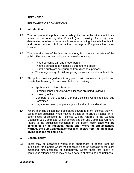## **APPENDIX D**

## **RELEVANCE OF CONVICTIONS**

#### **1. Introduction**

- 1.1 The purpose of this policy is to provide guidance on the criteria which are taken into account by the Council (the Licensing Authority) when determining whether or not an applicant or an existing licence holder is a fit and proper person to hold a hackney carriage and/or private hire driver licence.
- 1.2 The overriding aim of the licensing authority is to protect the safety of the public. The licensing authority is concerned to ensure;
	- That a person is a fit and proper person
	- That the person does not pose a threat to the public
	- That the public are safeguarded from dishonest persons
	- The safeguarding of children, young persons and vulnerable adults
- 1.3 This policy provides guidance to any person with an interest in public and private hire licensing. In particular, but not exclusively;
	- Applicants for drivers' licences
	- Existing licensed drivers whose licences are being reviewed
	- Licensing officers
	- Members of the Council's General Licensing Committee and Sub **Committee**
	- Magistrates hearing appeals against local authority decisions
- 1.4 Where licensing officers have delegated powers to grant licences, they will utilise these guidelines when making a decision to grant a licence. In all other cases applications for licences will be referred to the General Licensing Sub Committee. Whilst officers and the Sub Committee will have regard to the guidelines contained in the policy, **each case will be considered on its individual merits and, where the circumstances warrant, the Sub Committee/officer may depart from the guidelines, giving reasons for doing so.**

### **2. General policy**

2.1 There may be occasions where it is appropriate to depart from the guidelines, for example where the offence is a one-off occasion or there are mitigating circumstances or alternatively where there are many or continuous offences which may show a pattern of offending and unfitness.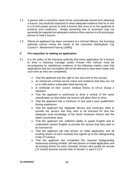- 2.2 A person with a conviction need not be automatically barred from obtaining a licence, but would be expected to show adequate evidence that he or she is a fit and proper person to hold a licence (the onus is on the applicant to produce such evidence). Simply remaining free of conviction may not generally be regarded as adequate evidence that a person is a fit and proper person to hold a licence.
- 2.3 Where an applicant has been convicted of a criminal offence, the licensing authority cannot review the merits of the conviction [Nottingham City Council v. Mohammed Farooq (1998)].

# **3. Pre-requisites to making an application**

- 3.1 It is the policy of the licensing authority that every application for a licence to drive a Hackney Carriage and/or Private Hire Vehicle must be accompanied by satisfactory evidence of the following matters (and that applications that are incomplete will not be deemed to have been made until such time as they are completed);
	- That the applicant has the right to live and work in the country
	- An enhanced criminal record check and evidence that they are not on a child and/or vulnerable adult barring list
	- A certificate of their current medical fitness to DVLA Group 2 standard
	- That the applicant is authorised to drive a vehicle of the same classification as that which the licence will allow them to drive
	- That the applicant has a minimum of one year's post qualification driving experience
	- That the applicant has adequate literacy and numeracy skills to provide the service that they wish to be licensed for and has adequate local knowledge of the North Kesteven District and the wider Lincolnshire area
	- That the applicant has sufficient ability to speak English and to understand spoken English to provide the service that they wish to be licensed for
	- That the applicant (all new drivers on initial application and all existing drivers at each renewal) has signed up to the Safeguarding Code of Conduct
	- That the applicant has completed the required Safeguarding Awareness training module. (all new drivers on initial application and all existing drivers for each renewal). Drivers who qualify for annual (12 month) licences should refer to Section 3, para 3.12.5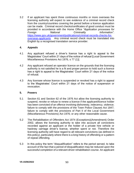3.2 If an applicant has spent three continuous months or more overseas the licensing authority will expect to see evidence of a criminal record check from the country/countries covering the period before a licence application can be made. Criminal record checks/certificates of good conduct must be provided in accordance with the Home Office *"Application processes for Foreign National Criminality Information"*. [https://www.gov.uk/government/publications/criminal-records-checks-for](https://www.gov.uk/government/publications/criminal-records-checks-for-overseas-applicants)[overseas-applicants](https://www.gov.uk/government/publications/criminal-records-checks-for-overseas-applicants) Any criminal record check must be translated into English by a recognised translation service provider.

#### **4. Appeals**

- 4.1 Any applicant refused a driver's licence has a right to appeal to the Magistrates' Court within 21 days of the notice of refusal [Local Government Miscellaneous Provisions Act 1976, s 77 (1)].
- 4.2 Any applicant refused an operator licence on the grounds that the licensing authority is not satisfied he is a fit and proper person to hold such a licence has a right to appeal to the Magistrates' Court within 21 days of the notice of refusal.
- 4.3 Any licensee whose licence is suspended or revoked has a right to appeal to the Magistrates' Court within 21 days of the notice of suspension or revocation.

### **5. Powers**

- 5.1 Section 61 and Section 62 of the 1976 Act allow the licensing authority to suspend, revoke or refuse to renew a licence if the applicant/licence holder has been convicted of an offence involving dishonesty, indecency, violence; failure to comply with the provisions of the Town Police Clauses Act 1847; failure to comply with the provisions of Part II of the Local Government (Miscellaneous Provisions) Act 1976; or any other reasonable cause.
- 5.2 The Rehabilitation of Offenders Act 1974 (Exceptions)(Amendment) Order 2002, allows the licensing authority to take into account all convictions recorded against an applicant or the holder of a private hire vehicle or hackney carriage driver's licence, whether spent or not. Therefore the licensing authority will have regard to all relevant convictions (as defined in this policy), particularly where there is a long history of offending or a pattern of repeat offending.
- 5.3 In this policy the term "disqualification" refers to the period served, to take account of the fact that a period of disqualification may be reduced upon the successful completion of a relevant driver rehabilitation course. An applicant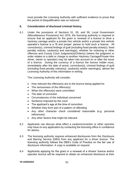must provide the Licensing Authority with sufficient evidence to prove that the period of disqualification was so reduced.

## **6. Consideration of disclosed criminal history**

6.1 Under the provisions of Sections 51, 55, and 59, Local Government (Miscellaneous Provisions) Act 1976, the licensing authority is required to ensure that an applicant for the grant or renewal of a licence to drive a hackney carriage and/or a private hire vehicle and/or a private hire vehicle operator's licence is a 'fit and proper' person to hold such a licence. All conviction(s), criminal findings of guilt (including fixed penalty ticket(s), fixed penalty notices, caution(s) and warning(s), whether for motoring or other offences and County Court Judgment(s)/Order(s) (where the judgment or order relates to a debt or charge to another Hackney Carriage/Private Hire driver, owner or operator) may be taken into account on or after the issue of a licence. During the currency of a licence the licence holder must, immediately after the date of arrest, conviction(s), criminal findings of guilt (including fixed penalty notice(s)), caution(s) and/or warning(s), advise the Licensing Authority of this information in writing.

The Licensing Authority will consider;

- How relevant the offence(s) are to the licence being applied for
- The seriousness of the offence(s)
- When the offence(s) were committed
- The date of conviction
- Circumstances of the individual concerned
- Sentence imposed by the court
- The applicant's age at the time of conviction
- Whether they form part of a pattern of offending
- Any other character check considered reasonable (e.g. personal references)
- Any other factors that might be relevant
- 6.2 Applicants can discuss what effect a caution/conviction or other sanction may have on any application by contacting the licensing office in confidence for advice.
- 6.3 The licensing authority requires enhanced disclosures from the Disclosure and Barring Service (DBS) from any applicant for a driver licence. The licensing authority follows the DBS's Code of Practice on the fair use of disclosure information. A copy is available on request.
- 6.4 Applicants applying for the grant or a renewal of a drivers' licence and/or operator licence will be required to obtain an enhanced disclosure at their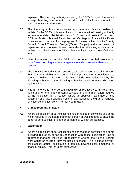expense. The licensing authority abides by the DBS's Policy on the secure storage, handling, use, retention and disposal of disclosure information, which is available on request.

- 6.5 The licensing authority encourages applicants and licence holders to register for the DBS's update service and to nominate the licensing authority to receive updates. Registration lasts for 1 year and costs £13 per year. DBS certificates obtained for a Hackney Carriage or Private Hire Driver Licence cannot be used for the purpose of obtaining a Lincolnshire County Council School Transport Badge ("Green Badge") and vice versa. A separate check is required for each authorisation. However, applicants can register both checks with the DBS update service for a total cost of £13 per year.
- 6.6 More information about the DBS can be found on their website at [https://www.gov.uk/government/organisations/disclosure-and-barring](https://www.gov.uk/government/organisations/disclosure-and-barring-service)[service](https://www.gov.uk/government/organisations/disclosure-and-barring-service) .
- 6.7 The licensing authority is also entitled to use other records and information that may be available to it in determining applications or an entitlement to continue holding a licence. This may include information held by the licensing authority or other licensing authorities, and information disclosed by the police.
- 6.8 It is an offence for any person knowingly or recklessly to make a false declaration or to omit any material particular in giving information required by the application for a licence. Where an applicant has made a false statement or a false declaration on their application for the grant or renewal of a licence, the licence will normally be refused.

# **7 Crimes resulting in death**

7.1 Where an applicant or current licence holder has been convicted of a crime which resulted in the death of another person or was intended to cause the death or serious injury of another person they will not be licensed.

# 8 **Exploitation**

8.1 Where an applicant or current licence holder has been convicted of a crime involving, related to, or has any connection with abuse, exploitation, use or treatment of another individual irrespective of whether the victim or victims were adults or children, they will not be licensed. This includes slavery, child sexual abuse, exploitation, grooming, psychological, emotional or financial abuse. This list is not exhaustive.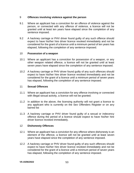#### 9 **Offences involving violence against the person**

- 9.1 Where an applicant has a conviction for an offence of violence against the person, or connected with any offence of violence, a licence will not be granted until at least ten years have elapsed since the completion of any sentence imposed.
- 9.2 A hackney carriage or PHV driver found guilty of any such offence should expect to have his/her hire driver licence revoked immediately and not be considered for the grant of a licence until a minimum period of ten years has elapsed, following the completion of any sentence imposed.

#### 10 **Possession of a weapon**

- 10.1 Where an applicant has a conviction for possession of a weapon, or any other weapon related offence, a licence will not be granted until at least seven years have elapsed since the completion of any sentence imposed.
- 10.2 A hackney carriage or PHV driver found guilty of any such offences should expect to have his/her hire driver licence revoked immediately and not be considered for the grant of a licence until a minimum period of seven years has elapsed, following the completion of any sentence imposed.

#### 11 **Sexual Offences**

- 11.1 Where an applicant has a conviction for any offence involving or connected with illegal sexual activity, a licence will not be granted.
- 11.2 In addition to the above, the licensing authority will not grant a licence to any applicant who is currently on the Sex Offenders Register or on any barred list
- 11.3 A hackney carriage or PHV driver found guilty of a sexual or indecency offence during the period of a licence should expect to have his/her hire driver licence revoked immediately.

#### 12 **Dishonesty Offences**

- 12.1 Where an applicant has a conviction for any offence where dishonesty is an element of the offence, a licence will not be granted until at least seven years have elapsed since the completion of any sentence imposed.
- 12.2 A hackney carriage or PHV driver found guilty of any such offences should expect to have his/her hire driver licence revoked immediately and not be considered for the grant of a licence until a minimum period of seven years has elapsed, following the completion of any sentence imposed.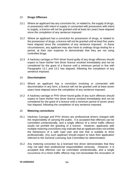## 13 **Drugs Offences**

- 13.1 Where an applicant has any conviction for, or related to, the supply of drugs, or possession with intent to supply or connected with possession with intent to supply, a licence will not be granted until at least ten years have elapsed since the completion of any sentence imposed
- 13.2 Where an applicant has a conviction for possession of drugs, or related to the possession of drugs, a licence will not be granted until at least five years have elapsed since the completion of any sentence imposed. In these circumstances, any applicant may also have to undergo drugs testing for a period, at their own expense to demonstrate that they are not using controlled drugs.
- 13.3 A hackney carriage or PHV driver found guilty of any drugs offences should expect to have his/her hire driver licence revoked immediately and not be considered for the grant of a licence until a minimum period in line with Paragraphs 13.1 and 13.2 has elapsed, following the completion of any sentence imposed.

## 14 **Discrimination**

- 14.1 Where an applicant has a conviction involving or connected with discrimination in any form, a licence will not be granted until at least seven years have elapsed since the completion of any sentence imposed.
- 14.2 A hackney carriage or PHV driver found guilty of any such offences should expect to have his/her hire driver licence revoked immediately and not be considered for the grant of a licence until a minimum period of seven years has elapsed, following the completion of any sentence imposed.

# 15 **Motoring convictions**

- 15.1 Hackney Carriage and PHV drivers are professional drivers charged with the responsibility of carrying the public. It is accepted that offences can be committed unintentionally, and a single offence of a minor traffic offence would not prohibit the granting of a licence. However, applicants with multiple motoring convictions may indicate that an applicant does not exhibit the behaviours of a safe road user and one that is suitable to drive professionally. Any such applicant should expect to have their application referred to the General Licensing Sub Committee for determination.
- 15.2 Any motoring conviction by a licensed hire driver demonstrates that they may not take their professional responsibilities seriously. However, it is accepted that offences can be committed unintentionally, and a single occurrence of a minor traffic offence may not necessitate the revocation of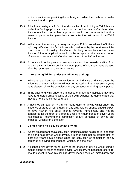a hire driver licence, providing the authority considers that the licence holder remains fit and proper.

- 15.3 A hackney carriage or PHV driver disqualified from holding a DVLA licence under the "totting-up" procedure should expect to have his/her hire driver licence revoked. A further application would not be accepted until a minimum period of two years has lapsed after the restoration of the DVLA licence.
- 15.4 In the case of an existing hackney carriage or PHV driver where the "tottingup" disqualification of a DVLA licence is considered by the court, even if the court does not disqualify, the Council is likely to revoke the hire driver licence. A further application would not be accepted until a minimum period of two years has elapsed after the restoration of the DVLA licence.
- 15.5 A licence will not be granted to any applicant who has been disqualified from holding a DVLA licence until a minimum period of two years have elapsed after the restoration of the DVLA licence.

### 16 **Drink driving/driving under the influence of drugs**

- 16.1 Where an applicant has a conviction for drink driving or driving under the influence of drugs, a licence will not be granted until at least seven years have elapsed since the completion of any sentence or driving ban imposed.
- 16.2 In the case of driving under the influence of drugs, any applicant may also have to undergo drugs testing, at their own expense, to demonstrate that they are not using controlled drugs.
- 16.3 A hackney carriage or PHV driver found guilty of driving whilst under the influence of drugs or found guilty of any drug-related offence should expect to have his/her hire driver licence revoked immediately and not be considered for the grant of a licence until a minimum period of seven years has elapsed, following the completion of any sentence of driving ban imposed, whichever is the later.

# 17 **Using a hand held device whilst driving**

- 17.1 Where an applicant has a conviction for using a hand held mobile telephone or a hand held device whilst driving, a licence shall not be granted until at least five years have elapsed since the conviction or completion of any sentence or driving ban imposed, whichever is the later.
- 17.2 A licensed hire driver found guilty of the offence of driving whilst using a mobile phone or other handheld device, whilst carrying passengers for hire, should expect to have his/her hire driver licence revoked immediately and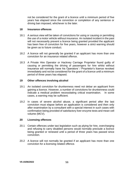not be considered for the grant of a licence until a minimum period of five years has elapsed since the conviction or completion of any sentence or driving ban imposed, whichever is the later.

#### **18 Insurance offences**

- 18.1 A serious view will be taken of convictions for using or causing or permitting the use of a motor vehicle without insurance. An isolated incident in the past will not necessarily prevent a licence being granted provided the applicant has been free of conviction for five years, however a strict warning should be given as to future conduct.
- 18.2 A licence will not generally be granted if an applicant has more than one conviction for an insurance related offence.
- 18.3 A Private Hire Operator or Hackney Carriage Proprietor found guilty of causing or permitting the driving of passengers for hire whilst without insurance will normally have his Operators' / Proprietor's licence revoked immediately and not be considered for the grant of a licence until a minimum period of three years has elapsed.

### **19 Other offences involving alcohol**

- 19.1 An isolated conviction for drunkenness need not debar an applicant from gaining a licence. However, a number of convictions for drunkenness could indicate a medical problem necessitating critical examination. In some cases, a warning may be sufficient.
- 19.2 In cases of severe alcohol abuse, a significant period after the last conviction must elapse before an application is considered and then only after examination by a consultant with a special interest in such cases with confirmation being provided of satisfactory liver enzyme tests and mean cell volume (MCV).

### **20 Licensing offences**

- 20.1 Certain offences under taxi legislation such as plying for hire, overcharging and refusing to carry disabled persons would normally preclude a licence being granted or renewed until a period of three years has passed since conviction.
- 20.2 A licence will not normally be granted if an applicant has more than one conviction for a licensing related offence.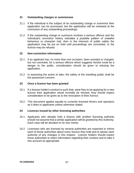## **21 Outstanding charges or summonses**

- 21.1 If the individual is the subject of an outstanding charge or summons their application can be processed, but the application will be reviewed at the conclusion of any outstanding proceedings.
- 21.2 If the outstanding charge or summons involves a serious offence and the individual's conviction history indicates a possible pattern of unlawful behaviour or character trait, then in the interests of public safety the application may be put on hold until proceedings are concluded, or the licence may be refused.

# **22 Non-conviction information**

- 22.1 If an applicant has, on more than one occasion, been arrested or charged, but not convicted, for a serious offence which suggests he/she could be a danger to the public, consideration should be given to refusing the application.
- 22.2 In assessing the action to take, the safety of the travelling public shall be the paramount concern.

### **23 Once a licence has been granted**

- 23.1 If a licence holder's conduct is such that, were they to be applying for a new licence their application would normally be refused, they should expect consideration to be given as to the revocation of their licence.
- 23.2 This document applies equally to currently licensed drivers and operators as it does to applicants unless otherwise stated.

### **24 Licences issued by other licensing authorities**

- 24.1 Applicants who already hold a licence with another licensing authority should not assume that a similar application will be granted by this Authority. Each case will be decided on its own merits.
- 24.2 Licensees who are licensed by several authorities are expected to inform each of those authorities about every licence they hold and to advise each authority of any changes in this respect. Licence holders should expect those authorities to share information regarding their conduct and to take it into account as appropriate.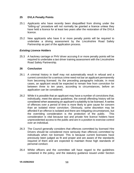#### **25 DVLA Penalty Points**

- 25.1 Applicants who have recently been disqualified from driving under the "totting-up" procedure will not normally be granted a licence unless they have held a licence for at least two years after the restoration of the DVLA licence.
- 25.2 New applicants who have 6 or more penalty points will be required to undertake a driving assessment by the Lincolnshire Road Safety Partnership as part of the application process.

### *Existing Licence Holders*

25.3 A hackney carriage or PHV driver accruing 6 or more penalty points will be required to undertake a taxi driver training assessment with the Lincolnshire Road Safety Partnership.

#### **26 Conclusion**

- 26.1 A criminal history in itself may not automatically result in refusal and a current conviction for a serious crime need not bar an applicant permanently from becoming licensed. As the preceding paragraphs indicate, in most cases, an applicant would be expected to remain free from conviction for between three to ten years, according to circumstances, before an application can be considered.
- 26.2 While it is possible that an applicant may have a number of convictions that, individually, meet the above guidelines, the overall offending history will be considered when assessing an applicant's suitability to be licensed. A series of offences over a period of time is more likely to give cause for concern than an isolated minor conviction. Obviously, some discretion may be afforded if an offence is isolated and there are mitigating circumstances, but the overriding consideration is the protection of the public. This consideration is vital because taxi and private hire licence holders have unprecedented access to the public and are in a position to exercise control over an individual.
- 26.3 The Council generally considers that offences committed by licensed Hire Drivers should be considered more seriously than offences committed by individuals when not licensed. This is because current licensees have previously been judged as fit and proper and are aware of the standards required of them and are expected to maintain those high standards of personal conduct.
- 26.4 Whilst officers and the committee will have regard to the guidelines contained in the policy, and the statutory guidance issued under Section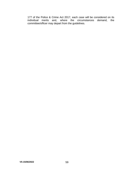177 of the Police & Crime Act 2017, each case will be considered on its individual merits and, where the circumstances demand, the committee/officer may depart from the guidelines.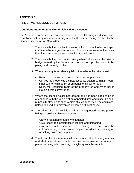# **APPENDIX E**

# **HIRE DRIVER LICENCE CONDITIONS**

#### **Conditions Attached to a Hire Vehicle Drivers Licence**

Hire Vehicle Drivers Licences are issued subject to the following conditions. Noncompliance with any one condition may result in the licence being revoked by the General Licensing Sub Committee.

- 1. The licence holder shall not cause or suffer or permit to be conveyed in a hire vehicle a greater number of persons exclusive of the driver than the number of persons specified in the licence.
- 2. The licence holder shall, when driving a hire vehicle wear the drivers' badge, issued by the Council, in a conspicuous position so as to be plainly and distinctly visible.
- 3. Where property is accidentally left in the vehicle the driver must:
	- Return it to the owner, if known, as soon as possible
	- Convey the property to the nearest police station, within 24 hours, if not sooner claimed by or on behalf of its owner; and
	- Notify the Licensing Team of the property left and which police station it was conveyed to
- 4. Where the licence holder has agreed and has been hired to be in attendance with the vehicle at an appointed time and place, he shall punctually attend with such vehicle at such appointed time and place, unless delayed and prevented by some sufficient cause.
- 5. The driver of a hire vehicle shall, when requested by any person hiring or seeking to hire the vehicle;
	- Carry a reasonable quantity of luggage
	- Give reasonable assistance in loading and unloading
	- Give reasonable assistance in removing it to and from the entrance of any house, station or place at which he is taking up or setting down such a person
- 6. The driver of a hire vehicle shall behave in a civil and orderly manner and shall take all reasonable precautions to ensure the safety of persons conveyed in, entering or alighting from the vehicle.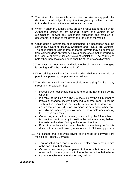- 7. The driver of a hire vehicle, when hired to drive to any particular destination shall, subject to any directions given by the hirer, proceed to that destination by the shortest available route.
- 8. When in another Council's area, on being requested to do so by an Authorised Officer of that Council, submit the vehicle to an examination; answer any reasonable questions and produce all documents in relation to the driver and the use of the vehicle.
- 9. Guide dogs or assistance dogs belonging to a passenger must be carried by drivers of Hackney Carriages and Private Hire Vehicles. The dogs must be carried free of charge. Drivers may be exempted from carrying dogs only if they have a notice of exemption issued by the Local Authority under any relevant legislation. The carrying of pets other than assistance dogs shall be at the driver's discretion.
- 10.The driver must not use a hand held mobile phone whilst the engine is running and/or the handbrake is off.
- 11.When driving a Hackney Carriage the driver shall not tamper with or permit any person to tamper with the taximeter.
- 12.The driver of a Hackney Carriage shall, when plying for hire in any street and not actually hired;
	- Proceed with reasonable speed to one of the ranks fixed by the Council
	- If a rank, at the time of arrival, is occupied by the full number of taxis authorised to occupy it, proceed to another rank, unless no such rank is available in the vicinity. In any event the driver must ensure that no hazard or inconvenience is created for other road users by the positioning or movement of the vehicle whilst waiting for a space on a rank
	- On arriving at a rank not already occupied by the full number of taxis authorised to occupy it, position the taxi immediately behind the taxis on the stand facing in the same direction
	- From time to time when any other taxi immediately in front is driven off or moved forward, move forward to fill the empty space
- 13.The licensee shall not while driving or in charge of a Private Hire Vehicle or Hackney Carriage;
	- Tout or solicit on a road or other public place any person to hire or be carried in that vehicle
	- Cause or procure any other person to tout or solicit on a road or other public place any person to hire or be carried in that vehicle
	- Leave the vehicle unattended on any taxi rank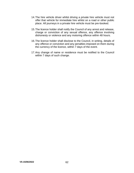- 14.The hire vehicle driver whilst driving a private hire vehicle must not offer that vehicle for immediate hire whilst on a road or other public place. All journeys in a private hire vehicle must be pre-booked.
- 15.The licence holder shall notify the Council of any arrest and release, charge or conviction of any sexual offence, any offence involving dishonesty or violence and any motoring offence within 48 hours.
- 16.The licence holder shall disclose to the Council, in writing, details of any offence or conviction and any penalties imposed on them during the currency of the licence, within 7 days of the event.
- 17.Any change of name or residence must be notified to the Council within 7 days of such change.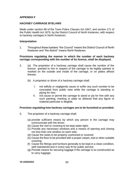## **APPENDIX F**

### **HACKNEY CARRIAGE BYELAWS**

Made under section 68 of the Town Police Clauses Act 1847, and section 171 of the Public Health Act 1875, by the District Council of North Kesteven, with respect to hackney carriages in North Kesteven.

#### **Interpretation**

1. Throughout these byelaws "the Council" means the District Council of North Kesteven and "the district" means North Kesteven.

#### **Provisions regulating the manner in which the number of each hackney carriage corresponding with the number of its licence, shall be displayed.**

- 2. (a) The proprietor of a hackney carriage shall cause the number of the licence granted to him in respect of the carriage to be legibly painted or marked on the outside and inside of the carriage, or on plates affixed thereto.
	- (b) A proprietor or driver of a hackney carriage shall;
		- I. not wilfully or negligently cause or suffer any such number to be concealed from public view while the carriage is standing or plying for hire;
		- II. not cause or permit the carriage to stand or ply for hire with any such painting, marking or plate so defaced that any figure or material particular is illegible.

### **Provision regulating how hackney carriages are to be furnished or provided.**

- 3. The proprietor of a hackney carriage shall;
	- (a) provide sufficient means by which any person in the carriage may communicate with the driver;
	- (b) Cause the roof or covering to be kept water-tight;
	- (c) Provide any necessary windows and a means of opening and closing not less than one window on each side;
	- (d) Cause the seats to be properly cushioned or covered;
	- (e) Cause the floor to be provided with a proper carpet, mat or other suitable covering;
	- (f) Cause the fittings and furniture generally to be kept in a clean condition, well maintained and in every way fit for public service;
	- (g) Provide means for securing luggage if the carriage is so constructed as to carry luggage;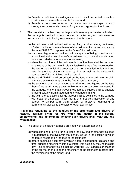- (h) Provide an efficient fire extinguisher which shall be carried in such a position as to be readily available for use; and
- (i) Provide at least two doors for the use of persons conveyed in such carriage and a separate means of ingress and egress for the driver.
- 4. The proprietor of a hackney carriage shall cause any taximeter with which the carriage is provided to be so constructed, attached, and maintained as to comply with the following requirements, that is to say:-
	- (a) the taximeter shall be fitted with a key, flag, or other device, the turning of which will bring the machinery of the taximeter into action and cause the word "HIRED" to appear on the face of the taximeter;
	- (b) such key, flag, or other device shall be capable of being locked in such a position that the machinery of the taximeter is not in action and that no fare is recorded on the face of the taximeter;
	- (c) when the machinery of the taximeter is in action there shall be recorded on the face of the taximeter in clearly legible figures a fare not exceeding the rate or fare which the proprietor or driver is entitled to demand and take for the hire of the carriage, by time as well as for distance in pursuance of the tariff fixed by the Council;
	- (d) the word "FARE" shall be printed on the face of the taximeter in plain letters so as clearly to apply to the fare recorded thereon;
	- (e) the taximeter shall be so placed that all letters and figures on the face thereof are at all times plainly visible to any person being conveyed in the carriage, and for that purpose the letters and figures shall be capable of being suitably illuminated during any period of hiring ;
	- (f) the taximeter and all the fittings thereof shall be so affixed to the carriage with seals or other appliances that it shall not be practicable for any person to tamper with them except by breaking, damaging or permanently displacing the seals or other appliances.

#### **Provisions regulating to the conduct of the proprietors and drivers of hackney carriage plying for hire within the district in the several employments, and determining whether such drivers shall wear any and what badges.**

- 5. The driver of a hackney carriage provided with a taximeter shall:-
	- (a) when standing or plying for hire, keep the key, flag or other device fitted in pursuance of the byelaw in that behalf, locked in the position in which no fare is recorded on the face of the taximeter;
	- (b) before beginning a journey for which a fare is charged for distance and time, bring the machinery of the taximeter into action by moving the said key, Flag or other device, so that the word "HIRED" is legible on the face of the taximeter and keep the machinery of the taximeter in action until the termination of the hiring; and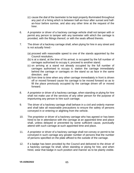- (c) cause the dial of the taximeter to be kept properly illuminated throughout any part of a hiring which is between half-an-hour after sunset and halfan-hour before sunrise, and also any other time at the request of the hirer.
- 6. A proprietor or driver of a hackney carriage vehicle shall not tamper with or permit any person to tamper with any taximeter with which the carriage is provided, with the fittings thereof, or with the seals affixed thereto.
- 7. The driver of a hackney carriage shall, when plying for hire in any street and is not actually hired:-
	- (a) proceed with reasonable speed to one of the stands appointed by the Council resolution;
	- (b) is at a stand, at the time of his arrival, is occupied by the full number of carriages authorised to occupy it, proceed to another stand;
	- (c) on arriving at a stand not already occupied by the full number of carriages authorised to occupy it, station the carriage immediately behind the carriage or carriages on the stand so as face in the same direction; and
	- (d) from time to time when any other carriage immediately in front is driven off or moved forward cause his carriage to be moved forward so as to fill the place previously occupied by the carriage driven off or moved forward.
- 8. A proprietor or driver of a hackney carriage, when standing or plying for hire shall not make use of the services of any other person for the purpose of importuning any person to hire such carriage.
- 9. The driver of a hackney carriage shall behave in a civil and orderly manner and shall take all reasonable precautions to ensure the safety of persons conveyed in or entering or alighting from the vehicle.
- 10. The proprietor or driver of a hackney carriage who has agreed or has been hired to be in attendance with the carriage at an appointed time and place shall, unless delayed or prevented by some sufficient cause, punctually attend with such carriage at such appointed time and place.
- 11. A proprietor or driver of a hackney carriage shall not convey or permit to be conveyed in such carriage any greater number of persons that the number of persons specified on the plate affixed to the outside of the carriage.
- 12. If a badge has been provided by the Council and delivered to the driver of a hackney carriage he shall, when standing or plying for hire, and when hired, wear that badge in such position and manner as to be plainly visible.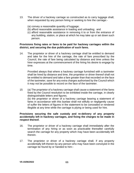- 13. The driver of a hackney carriage so constructed as to carry luggage shall, when requested by any person hiring or seeking to hire the carriage:-
	- (a) convey a reasonable quantity of luggage;
	- (b) afford reasonable assistance in loading and unloading; and
	- (c) afford reasonable assistance in removing it to or from the entrance of any building, station, or place at which he may take up or set down such person.

#### **Provisions fixing rates or fares to be paid for hackney carriages within the district, and securing the due publication of such fares.**

14. The proprietor or driver of a hackney carriage shall be entitled to demand and take for the hire of the carriage, the rate of fare prescribed by the Council, the rate of fare being calculated by distance and time unless the hirer expresses at the commencement of the hiring his desire to engage by time.

Provided always that where a hackney carriage furnished with a taximeter shall be hired by distance and time, the proprietor or driver thereof shall not be entitled to demand and take a fare greater than that recorded on the face of the taximeter, save for any extra charges authorised by the Council which it may not be possible to record on the face of the taximeter.

15 (a) The proprietor of a hackney carriage shall cause a statement of the fares fixed by the Council resolution to be exhibited inside the carriage, in clearly distinguishable letters and figures.

(b) the proprietor or driver of a hackney carriage bearing a statement of fares in accordance with this byelaw shall not wilfully or negligently cause of suffer the letters of figures in the statement to be concealed or rendered illegible at any time while the carriage is plying or being used for hire.

#### **Provisions securing the safe custody and re-delivery of any property accidentally left in hackney carriages, and fixing the charges to be made in respect thereof.**

- 16. The proprietor or driver of a hackney carriage shall immediately after the termination of any hiring or as soon as practicable thereafter carefully search the carriage for any property which may have been accidentally left therein.
- 17. The proprietor or driver of a hackney carriage shall, if any property accidentally left therein by any person who may have been conveyed in the carriage be found by or handed to him:-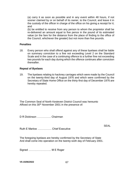(a) carry it as soon as possible and in any event within 48 hours, if not sooner claimed by or on behalf of its owner, to the Council, and leave it in the custody of the officer in charge of the office on his giving a receipt for it; and

(b) be entitled to receive from any person to whom the proprietor shall be re-delivered an amount equal to five pence in the pound of its estimated value (or the fare for the distance from the place of finding to the office of the Council, whichever the greater) but not more than five pounds.

#### **Penalties**

18. Every person who shall offend against any of these byelaws shall be liable on summary conviction to a fine not exceeding Level 2 on the Standard Scale and in the case of a continuing offence to a further fine not exceeding two pounds for each day during which the offence continues after conviction thereafter.

### **Repeal of Byelaws**

19. The byelaws relating to hackney carriages which were made by the Council on the twenty-third day of August 1976 and which were confirmed by the Secretary of State Home Office on the thirty-first day of December 1976 are hereby repealed.

The Common Seal of North Kesteven District Council was hereunto Affixed on this 30<sup>th</sup> November 2001 in the presence of:

D R Dickinson ……………. Chairman

SEAL

Ruth E Marlow ……………. Chief Executive

The foregoing byelaws are hereby confirmed by the Secretary of State And shall come into operation on the twenty-sixth day of February 2001.

Signed …………………….. M E Roger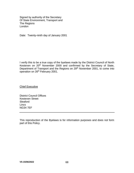Signed by authority of the Secretary Of State Environment, Transport and The Regions London

Date: Twenty-ninth day of January 2001

I verify this to be a true copy of the byelaws made by the District Council of North Kesteven on 20<sup>th</sup> November 2000 and confirmed by the Secretary of State, Department of Transport and the Regions on 29<sup>th</sup> November 2001, to come into operation on 26th February 2001.

Chief Executive

District Council Offices Kesteven Street Sleaford Lincs NG34 7EF

This reproduction of the Byelaws is for information purposes and does not form part of this Policy.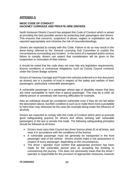## **APPENDIX G**

### **NKDC CODE OF CONDUCT HACKNEY CARRIAGE AND PRIVATE HIRE DRIVERS**

North Kesteven District Council has adopted this Code of Conduct which is aimed at providing the best possible service by protecting both passengers and drivers. This ensures that concerns, suspicions of abuse, neglect or exploitation can be reported appropriately and minimise the risk of misunderstandings.

Drivers are expected to comply with this Code. Failure to do so may result in the driver being referred to the General Licensing Sub Committee to explain the circumstances surrounding any incident. In the event of a repeated and/or serious failure to comply, drivers can expect that consideration will be given to the suspension or revocation of their licence.

It should be noted that the code does not over-ride any legislative requirements, licence conditions or contractual obligations, such as County Council contracts under the Green Badge scheme.

Drivers of Hackney Carriage and Private Hire vehicles (referred to in this document as drivers) are in a position of trust in respect of the safety and welfare of their passengers, particularly vulnerable passengers.

A vulnerable passenger is a passenger whose age or disability means that they are more susceptible to harm than a typical passenger. This may be a child, an elderly person or somebody with learning difficulties for example.

Also an individual should be considered vulnerable even if they do not fall within the description above, but their condition is such as to make them more susceptible to harm than may otherwise be the case (for example being under the influence of alcohol).

Drivers are expected to comply with this Code of Conduct which aims to promote good safeguarding practice for drivers and others working with vulnerable passengers in the taxi or private hire trade. The following safeguarding principles should be followed at all times:

- Drivers must carry their Council taxi driver licence photo ID at all times, and wear it in accordance with the conditions of the licence
- A vulnerable passenger must not generally be transported in the front passenger seat of the vehicle. Drivers should make a risk assessment in respect of every passenger, depending on the circumstances
- The driver / operator must confirm that appropriate provision has been made for the vulnerable person prior to accepting the booking or commencing the journey. This does not necessarily mean that the driver / operator is responsible for the provision of appropriate measures, however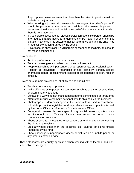if appropriate measures are not in place then the driver / operator must not undertake the journey

- When making a journey with vulnerable passengers, the driver's photo ID should be produced to the carer responsible for the vulnerable person. If necessary, the driver should obtain a record of the carer's contact details if there is no chaperone
- If a vulnerable passenger is refused service a responsible person should be informed so that alternative arrangements can be made. For example, this situation may arise if the customer has an assistance dog and the driver has a medical exemption granted by the council
- Drivers should always ask if a vulnerable passenger needs help, and should not make assumptions

Drivers should;

- Act in a professional manner at all times
- Treat all passengers and other road users with respect
- Keep relationships with passengers on an appropriate, professional basis
- Respect all individuals regardless of age, disability, gender, sexual orientation, gender reassignment, religion/belief, language spoken, race or ethnicity

Drivers must remain professional at all times and should not;

- Touch a person inappropriately
- Make offensive or inappropriate comments (such as swearing or sexualised or discriminatory language)
- Behave in a way that may make a passenger feel intimidated or threatened
- Attempt to misuse customer's personal details obtained via the business
- Photograph or video passengers in their care unless used in compliance with data protection legislation and any relevant codes of practice issued by the Home Office or Information Commissioner's Office
- Engage with vulnerable passengers through social networking sites (such as Facebook and Twitter), instant messengers or other online communication software
- Phone or send text messages to passengers other than directly concerning the hiring of the vehicle
- Stop anywhere other than the specified pick up/drop off points unless requested by the hirer
- Show passengers inappropriate videos or pictures on a mobile phone or any other electronic device

These standards are equally applicable when working with vulnerable and nonvulnerable passengers.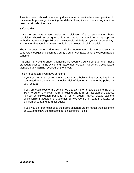A written record should be made by drivers when a service has been provided to a vulnerable passenger including the details of any incidents occurring / actions taken or refusals of service.

#### Safeguarding

If a driver suspects abuse, neglect or exploitation of a passenger then these suspicions should not be ignored, it is important to report it to the appropriate authority. Safeguarding children and vulnerable adults is everyone's responsibility. Remember that your information could help a vulnerable child or adult.

The code does not over-ride any legislative requirements, licence conditions or contractual obligations, such as County Council contracts under the Green Badge scheme.

If a driver is working under a Lincolnshire County Council contract then those procedures set out in the Driver and Passenger Assistant Pack should be followed alongside any training received by the driver.

Action to be taken if you have concerns;

- If your concerns are of an urgent matter or you believe that a crime has been committed and there is an immediate risk of danger, telephone the police on 999 (or 112)
- If you are suspicious or are concerned that a child or an adult is suffering or is likely to suffer significant harm, including any form of mistreatment, abuse, neglect or exploitation but it is not of an urgent nature, please call the Lincolnshire Safeguarding Customer Service Centre on 01522 782111 for children or 01522 782155 for adults
- If you would prefer to speak to the police on a non-urgent matter then call them on 101 and follow the directions for Lincolnshire Police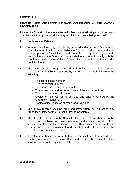# **APPENDIX H**

## **PRIVATE HIRE OPERATOR LICENCE CONDITIONS & APPLICATION PROCEDURES**

Private Hire Operator Licences are issued subject to the following conditions. Noncompliance with any one condition may result in the licence being revoked.

#### 1. **Vehicles and Drivers**

- 1.1 Without prejudice to any other liability imposed under the Local Government (Miscellaneous Provisions) Act 1976, the Operator shall ensure that drivers and proprietors of vehicles owned, controlled or operated by them in association with the Operator's licence shall observe and comply with the conditions of their Hire Vehicle Driver's Licence and their Private Hire Vehicle Licence.
- 1.2 The Operator shall keep a record and maintain at his/her premises particulars of all vehicles operated by him or her, which shall include the following;
	- The licence plate number
	- The registration number
	- The name and address of proprietor
	- The names and addresses of drivers of the above vehicles
	- The badge numbers of drivers
	- Copies of licences for all vehicles and drivers covered by the Operator's licence; and
	- Copies of insurance certificates for all vehicles
- 1.3 The above records shall be produced immediately on request to any Authorised Officer of the Council or Police Constable.
- 1.4 The Operator shall inform the Council within 7 days of any changes in the particulars of vehicles or drivers operating under his or her Operator's licence as detailed in the condition above. This includes details of drivers entering or leaving employment and the start and/or finish date of the operational use of individual vehicles.
- 1.5 If the Operator becomes aware that any driver is suffering from any illness, disability or condition which may affect the driver's ability to drive then they shall inform the Authority immediately.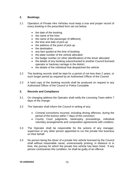### **2. Bookings**

- 2.1 Operators of Private Hire Vehicles must keep a true and proper record of every booking in the prescribed form set out below;
	- the date of the booking
	- the name of the hirer
	- the name of the passenger (if different)
	- the time and date of pick-up
	- the address of the point of pick-up
	- the destination
	- any fare quoted at the time of booking
	- the plate number of the vehicle allocated
	- the badge number (or other identification) of the driver allocated
	- the details of any booking subcontracted to another Council licensed operator or hackney carriage in the district
	- the details of the individual that despatched the vehicle
- 2.2 The booking records shall be kept for a period of not less than 2 years, or such longer period as required by an Authorised Officer of the Council.
- 2.3 A hard copy of the booking records shall be produced on request to any Authorised Officer of the Council or Police Constable

#### **3. Records and Compliance**

- 3.1 On changing address the Operator shall notify the Licensing Team within 7 days of the change.
- 3.2 The Operator shall inform the Council in writing of any;
	- Criminal convictions incurred, including driving offences, during the period of the licence within 7 days of the conviction
	- County Court judgments, bankruptcy proceedings, individual voluntary arrangements and composition agreements with creditors.
- 3.3 The Operator shall be responsible for the actions of any manager, supervisor or any other person appointed to run the private hire business on their behalf.
- 3.4 No person being the driver of a private hire vehicle licensed by the Council shall without reasonable cause, unnecessarily prolong, in distance or in time, the journey for which the private hire vehicle has been hired. If any person contravenes this condition, he shall be guilty of an offence.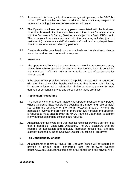- 3.5 A person who is found guilty of an offence against byelaws, or the 1847 Act or the 1976 Act is liable to a fine. In addition, the council may suspend or revoke an existing licence or refuse to renew a licence.
- 3.6 The Operator shall ensure that any person associated with the business, other than licensed hire divers who have submitted to an Enhanced check with the Disclosure & Barring Service, are subject to a Basic DBS check. This includes all persons associated with the business, including (but not restricted to) maintenance staff, domestic staff, call handlers, despatchers, directors, secretaries and sleeping partners.
- 3.7 Checks should be completed on an annual basis and details of such checks are to be retained and produced on request.

#### **4. Insurance**

- 4.1 The operator shall ensure that a certificate of motor insurance covers every private hire vehicle operated by him under the licence, which is compliant with the Road Traffic Act 1988 as regards the carriage of passengers for hire or reward.
- 4.2 If the operator has premises to which the public have access, in connection with the hiring of vehicles, he/she shall ensure that there is public liability insurance in force, which indemnifies him/her against any claim for loss, damage or personal injury by any person using those premises.

## **5 Application Procedures**

- 5.1 This Authority can only issue Private Hire Operator licences for any person whose Operating Base (where the bookings are made, and records held) lies within the boundary of the North Kesteven District. Where the application involves the provision of more than two vehicles, the applicant is required to make enquires with the NKDC Planning Department to confirm if any additional planning consents are required.
- 5.2 An applicant for a Private Hire Operator licence shall provide a current (less than 1 month old) Basic DBS Disclosure. The DBS disclosure shall be required on application and annually thereafter, unless they are also currently licensed by North Kesteven District Council as a Hire driver.

## **6 Tax Conditionality Checks**

6.1 All applicants to renew a Private Hire Operator licence will be required to provide a unique code, generated from the following website [https://www.gov.uk/guidance/complete-a-tax-check-for-a-taxi-private-hire-](https://www.gov.uk/guidance/complete-a-tax-check-for-a-taxi-private-hire-or-scrap-metal-licence)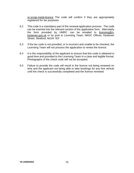[or-scrap-metal-licence](https://www.gov.uk/guidance/complete-a-tax-check-for-a-taxi-private-hire-or-scrap-metal-licence) The code will confirm if they are appropriately registered for tax purposes.

- 6.2 This code is a mandatory part of the renewal application process. The code can be inserted into the relevant section of the application form. Alternately the form provided by HMRC can be emailed to licensing  $@n$ [kesteven.gov.uk](mailto:licensing@n-kesteven.gov.uk) or by post to Licensing Team, NKDC Offices, Kesteven Street, Sleaford, NG34 7EF.
- 6.3 If the tax code is not provided, or is incorrect and unable to be checked, the Licensing Team will not process the application to renew the licence.
- 6.4 It is the responsibility of the applicant to ensure that this code is obtained in good time and provided to the Licensing Team in a clear and legible format. Photographs of the check code will not be accepted.
- 6.5 Failure to provide the code will result in the licence not being renewed on time and the applicant not being able to take bookings for any hire vehicle until the check is successfully completed and the licence renewed.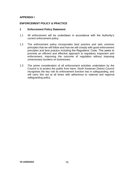## **APPENDIX I**

## **ENFORCEMENT POLICY & PRACTICE**

#### **1 Enforcement Policy Statement**

- 1.1 All enforcement will be undertaken in accordance with the Authority's current enforcement policy.
- 1.2 The enforcement policy incorporates best practice and sets common principles that we will follow and how we will comply with good enforcement principles and best practice including the Regulators' Code. This seeks to promote an efficient and effective approach to regulatory inspection and enforcement, improving the outcome of regulation without imposing unnecessary burdens on businesses.
- 1.3 The prime consideration of all enforcement activities undertaken by the Council is to protect the public from harm. North Kesteven District Council recognises the key role its enforcement function has in safeguarding, and will carry this out at all times with adherence to national and regional safeguarding policy.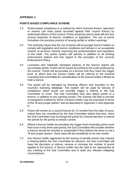## **APPENDIX J.**

#### **POINTS BASED COMPLIANCE SCHEME**

- 1.0 Points based compliance is a method by which licenced drivers, operators or owners can have points recorded against their council licence by authorised officers of the Council. Points would be used to deal with the less serious breaches of licence conditions or legislation. The use of points formalises the previous practice of issuing verbal or written warnings.
- 2.0 The Authority hopes that the use of points will encourage licence holders to comply with legislation and licence conditions and behave in an acceptable manner at all times, thereby improving the professionalism and reputation of the trade. The points system will operate in addition to all existing enforcement options and has regard to the principles of the councils Enforcement Policy.
- 3.0 Licensees who habitually disregard aspects of the licence regime will accumulate points. Points will be issued according to the scale produced by the council. Points will accumulate on a licence until they reach the trigger level, at which time the licence holder will be referred to the General Licensing Sub Committee for consideration of the licence holder's fitness to hold a licence.
- 4.0 The points will be managed by licensing officers and recorded on the Council's licensing database. The system will be used for failures of compliance which would not normally trigger a referral to the Sub Committee or Court. The Sub Committee may also attach points to a licence, in addition to any warning issued. The scheme will help to provide a transparent method by which a licence holder may be assessed in terms of the 'fit and proper person' test as described in Appendix C and Appendix D.
- 5.0 Points will remain on a council licence for 12 months from the date of issue, unless they are considered by the Sub Committee before that time, when the Sub Committee may exchange the points for a formal sanction or extend the period for the points to remain current.
- 6.0 Where a licence holder accumulates the trigger level of penalty points more than once in any three year period, the Sub Committee will consider whether a licence should be revoked or suspended if they believe the driver is not a 'fit and proper person'. Each case will be considered on its own merits.
- 7.0 Any licence holder aggrieved by the issuing of penalty points may request a hearing before the Sub Committee for decision, the Sub Committee will have the discretion to reduce, remove or increase the number of points applied to the licence. A licence holder has the right to be represented at any meeting of the Sub Committee and to state any relevant mitigating circumstances.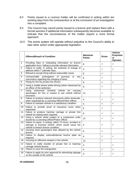- 8.0 Points issued to a Licence holder will be confirmed in writing within ten working days from the contravention or at the conclusion of an investigation into a complaint.
- 9.0 The Council may cancel points issued to a licence and replace them with a formal sanction if additional information subsequently becomes available to indicate that the circumstances of the matter require a more formal approach.
- 10.0 The points system will operate without prejudice to the Council's ability to take other action under appropriate legislation.

|                | <b>Offence/Breach of Condition</b>                                                                                                                       | <b>Maximum</b><br><b>Points</b> | <b>Driver</b> | <b>Vehicle</b><br>Proprietor<br>or<br>Operator |
|----------------|----------------------------------------------------------------------------------------------------------------------------------------------------------|---------------------------------|---------------|------------------------------------------------|
| 1              | Providing false or misleading information on licence<br>application form / failing to provide relevant information.                                      | 6                               | $\checkmark$  | $\checkmark$                                   |
| $\overline{2}$ | Failure to notify, in writing, the Authority of change of<br>address within 7 calendar days.                                                             | 3                               | $\checkmark$  | $\checkmark$                                   |
| 3              | Refusal to accept hiring without reasonable cause                                                                                                        | $6\overline{6}$                 | $\checkmark$  |                                                |
| 4              | prolongation<br>Unreasonable<br>of<br>journeys<br>or<br>any<br>misconduct regarding the charging of fares.                                               | 6                               | $\checkmark$  |                                                |
| 5              | Plying for hire by private hire drivers.                                                                                                                 | 9                               | $\checkmark$  | $\checkmark$                                   |
| 6              | Using a mobile phone whilst driving (when witnessed by<br>an officer of the authority).                                                                  | 6                               | $\checkmark$  |                                                |
| $\overline{7}$ | unlicensed /revoked vehicle<br>Using<br>for<br>carrying<br>passengers for hire or reward or use vehicle without<br>insurance.                            | 12                              | $\checkmark$  | $\checkmark$                                   |
| 8              | Failure to produce relevant documents within timescale,<br>when requested by a Licensing Officer/Police Officer.                                         | $\overline{4}$                  | $\checkmark$  | $\checkmark$                                   |
| 9              | Failure to maintain vehicle in a satisfactory condition                                                                                                  | $\overline{4}$                  | $\checkmark$  | $\checkmark$                                   |
| 10             | Failure to provide proof of insurance cover when<br>requested.                                                                                           | 6                               | $\checkmark$  |                                                |
| 11             | Failure to produce hackney carriage or private hire<br>vehicle for testing when required.                                                                | 6                               | $\checkmark$  | $\checkmark$                                   |
| 12             | Using a vehicle whilst subject to a suspension order<br>issued by a Licensing Officer/Police Officer.                                                    | 12                              | $\checkmark$  | $\checkmark$                                   |
| 13             | Failure to report, in writing, within 72 hours, accident or<br>damage to licensed vehicle, which would cause the<br>vehicle to breach licence condition. | 4                               | ✓             | $\checkmark$                                   |
| 14             | Carrying more passengers than allowed by the vehicle<br>licence.                                                                                         | $6\phantom{a}$                  | $\checkmark$  |                                                |
| 15             | Failure to display external/internal licence plate as<br>required.                                                                                       | $\overline{4}$                  | $\checkmark$  | $\checkmark$                                   |
| 16             | Carrying an offensive weapon in the vehicle.                                                                                                             | 12                              | $\checkmark$  |                                                |
| 17             | Failure to notify transfer of private hire or hackney<br>carriage vehicle licence.                                                                       | $\overline{4}$                  |               | $\checkmark$                                   |
| 18             | Failure to carry fire extinguisher.                                                                                                                      | $\overline{4}$                  | $\checkmark$  | $\checkmark$                                   |
| 19             | Failure to apply for prior approval for advertising signage<br>on the outside of the vehicle.                                                            | 3                               | ✓             | ✓                                              |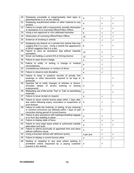| 20 | Displaying unsuitable or inappropriately sited signs or<br>advertisements in or on the vehicle.                                                                            | 3              | ✓            | ✓            |
|----|----------------------------------------------------------------------------------------------------------------------------------------------------------------------------|----------------|--------------|--------------|
| 21 | Displaying unauthorised written or other material on any<br>window.                                                                                                        | $\overline{4}$ | $\checkmark$ | ✓            |
| 22 | Failure to comply with a requirement, provide information<br>or assistance to a Licensing Officer/Police Officer.                                                          | 6              | ✓            | ✓            |
| 23 | Using a non-approved or non-calibrated taximeter.                                                                                                                          | 6              | $\checkmark$ | $\checkmark$ |
| 24 | Obstruction of Licensing Officer/Police Officer.                                                                                                                           | 12             | $\checkmark$ | $\checkmark$ |
| 25 | Evidence of smoking in vehicle.                                                                                                                                            | 3              | $\checkmark$ | $\checkmark$ |
| 27 | Displaying any feature on a private hire vehicle that may<br>suggest that it is a taxi. Using a vehicle the appearance<br>of which suggests that it is a taxi.             | 6              | ✓            | ✓            |
| 28 | Failure to carry an assistance dog without requisite<br>exemption.                                                                                                         | 12             | ✓            |              |
| 29 | Driver not holding a current DVLA Driving licence.                                                                                                                         | 12             | ✓            | $\checkmark$ |
| 30 | Failure to wear driver's badge.                                                                                                                                            | $\overline{4}$ | $\checkmark$ |              |
| 31 | Failure to notify, in writing, a change in medical<br>circumstances.                                                                                                       | 6              | ✓            |              |
| 32 | Unsatisfactory behaviour or conduct of driver.                                                                                                                             | 4              | ✓            |              |
| 33 | Failure to observe rank discipline.                                                                                                                                        | $\overline{4}$ | $\checkmark$ |              |
| 34 | Failure to keep or produce records of private hire<br>bookings or other documents required to be kept or<br>produced.                                                      | 6              |              | ✓            |
| 35 | Operator fail to notify changes of vehicles or drivers.<br>(Includes details of drivers entering or<br>leaving<br>employment).                                             | 3              |              | ✓            |
| 36 | Misleading use of the words 'Taxi' or 'Cab' on advertising<br>materials.                                                                                                   | 3              |              | ✓            |
| 37 | Failure to issue receipt on request.                                                                                                                                       | 3              | $\checkmark$ |              |
| 38 | Failure to return vehicle licence plate within 7 days after<br>due notice following expiry, revocation or suspension of<br>such licence.                                   | 4              | ✓            | ✓            |
| 39 | Failure to notify the Authority, in writing, of any motoring<br>or criminal convictions (as defined) within 7 days of said<br>conviction during period of current licence. | 6              | ✓            |              |
| 40 | Failure to give assistance with loading/unloading luggage<br>to or from any building or place.                                                                             | 3              | ✓            |              |
| 41 | Failure to display table of fares.                                                                                                                                         | $\overline{4}$ | ✓            | $\checkmark$ |
| 42 | Failure to carry legal spare wheel or authorised suitable<br>alternative and tools.                                                                                        | $\overline{4}$ | ✓            | ✓            |
| 43 | Failure to attend punctually at appointed time and place<br>without sufficient cause.                                                                                      | $\overline{4}$ | ✓            |              |
| 44 | Using a licensed vehicle with defective tyre(s).                                                                                                                           | 4 per tyre     | ✓            | $\checkmark$ |
| 45 | Failure to display a current licence plate.                                                                                                                                | $\overline{4}$ | ✓            | $\checkmark$ |
| 46 | Waiting or stopping in any area where parking is<br>prohibited unless requested by a paying customer<br>present in the vehicle.                                            | 3              | ✓            |              |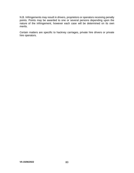N.B. Infringements may result in drivers, proprietors or operators receiving penalty points. Points may be awarded to one or several persons depending upon the nature of the infringement, however each case will be determined on its own merits.

Certain matters are specific to hackney carriages, private hire drivers or private hire operators.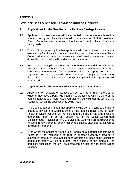## **APPENDIX K**

## **INTENDED USE POLICY FOR HACKNEY CARRIAGE LICENCES**

#### **1. Applications for the New Grant of a Hackney Carriage Licence**

- 1.1 Applicants for new licences will be expected to demonstrate a bona fide intention to ply for hire within the administrative area of North Kesteven District Council under the terms of the licence for which the application is being made.
- 1.2 There will be a presumption that applicants who do not intend to a material extent to ply for hire within the administrative area of North Kesteven District Council will not be granted a hackney carriage licensing authorising them to do so. Each application will be decided on its merits.
- 1.3 Even where the applicant intends to ply for hire to a material extent in North Kesteven, if the intention is to trade in another authority's area for a substantial amount of time (and it appears that the purpose of the legislation and public safety will be frustrated) then, subject to the merits of the particular application, there will be a presumption that the application will be refused.

#### **2. Applications for the Renewal of a Hackney Carriage Licence**

- 2.1 Applicants for renewals of licences will be required to inform the Council whether they have a bona fide intention to ply for hire within a zone of the administrative area of North Kesteven District Council under the terms of the licence for which the application is being made.
- 2.2 There will be a presumption that applicants who do not intend to a material extent to ply for hire within a zone of the administrative area of North Kesteven District Council will not be granted a hackney carriage licensing authorising them to do so. Section 60 of the Local Government Miscellaneous Provisions) Act 1976 gives the Council a broad discretion to refuse to renew a licence for any reasonable cause. Each application will be decided on its merits.
- 2.3 Even where the applicant intends to ply for hire to a material extent in North Kesteven if the intention is to trade in another authority's area for a substantial amount of time (and it appears that the purpose of the legislation and public safety will be frustrated) then, subject to the merits of the particular application, there will be a presumption that the application will be refused.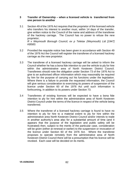#### **3 Transfer of Ownership – when a licensed vehicle is transferred from one person to another**

3.1 Section 49 of the 1976 Act requires that the proprietor of the licensed vehicle who transfers his interest to another must, within 14 days of the transfer, give written notice to the Council of the name and address of the transferee of the hackney carriage. The Council has no power to refuse the new proprietor; *R v Weymouth Borough Council, ex p Teletax (Weymouth) Ltd [1947]* 

*KB583.*

- 3.2 Provided the requisite notice has been given in accordance with Section 49 of the 1976 Act the Council will register the transferee of a licensed hackney carriage as the new proprietor.
- 3.3 The transferee of a licensed hackney carriage will be asked to inform the Council whether he has a bona fide intention to use the vehicle to ply for hire within the administrative area of North Kesteven District Council. Transferees should note the obligation under Section 73 of the 1976 Act to give to an authorised officer information which may reasonably be required by him for the purpose of carrying out his functions under the legislation. Where there is a failure to provide the requested information, the Council will give serious consideration to exercising its powers of suspension of the licence under Section 60 of the 1976 Act until such information is forthcoming, in addition to its powers under Section 73.
- 3.4 Transferees of existing licences will be expected to have a bona fide intention to ply for hire within the administrative area of North Kesteven District Council under the terms of the licence in respect of the vehicle being transferred.
- 3.5 Where the transferee of a licensed hackney carriage is found to have no intention to ply for hire to a material extent to ply for hire within the administrative area North Kesteven District Council and/or intends to trade in another authority's area also for a substantial amount of time (and it appears that the purpose of the legislation and public safety will be frustrated) then, subject to the merits of the particular case, consideration will be given (either at renewal or earlier) to the suspension or revocation of the licence under Section 60 of the 1976 Act. Where the transferee proposes to operate remotely from the administrative area of North Kesteven District Council there will be a presumption that his licence will be revoked. Each case will be decided on its merits.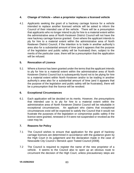#### **4. Change of Vehicle – when a proprietor replaces a licensed vehicle**

4.1 Applicants seeking the grant of a hackney carriage licence for a vehicle intended to replace another licensed vehicle will be asked to inform the Council of their intended use of the vehicle. There will be a presumption that applicants who no longer intend to ply for hire to a material extent within the administrative area of North Kesteven District Council will not have the new hackney carriage licence granted. Even where the applicant intends to ply for hire to a material extent within the administrative area of North Kesteven District Council, if the intention is to trade in another authority's area also for a substantial amount of time (and it appears that the purpose of the legislation and public safety will be frustrated) then, subject to the merits of the particular case, there will be a presumption that the application will be refused.

## **5. Revocation of Licence**

5.1 Where a licence has been granted under the terms that the applicant intends to ply for hire to a material extent within the administrative area of North Kesteven District Council but is subsequently found not to be plying for hire to a material extent within North Kesteven and/or to be trading in another authority's area also for a substantial amount of time (and it appears that the purpose of the legislation and public safety will be frustrated), there will be a presumption that the licence will be revoked.

## **6. Exceptional Circumstances**

6.1 Each application will be decided on its merits. However, the presumptions that intended use is to ply for hire to a material extent within the administrative area of North Kesteven District Council will be rebuttable in exceptional circumstances. An applicant who claims that exceptional circumstances exist will be expected to satisfy the Council that it would not frustrate the purposes of the legislation or compromise public safety if the licence were granted, renewed or if it were not suspended or revoked as the case may be.

## **7. Reasons for Policy**

- 7.1 The Council wishes to ensure that application for the grant of hackney carriage licences are determined in accordance with the guidance given by the High Court in its judgement and the declaration made in the case of Newcastle City Council v Berwick upon Tweed Council [2008].
- 7.2 The Council is required to register the name of the new proprietor of a vehicle. It seems to the Council also to open up an obvious route to circumvent the decision of the High Court, unless precautionary steps are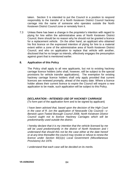taken. Section 3 is intended to put the Council in a position to respond responsibly to the transfer of a North Kesteven District Council hackney carriage into the name of someone who operates outside the North Kesteven District Council zone or remotely from it.

7.3 Unless there has been a change in the proprietor's intention with regard to plying for hire within the administrative area of North Kesteven District Council, there should be no reason why he should not be granted a licence for a replacement vehicle. On the other hand, an applicant who obtained his first licence on the expressed intention of plying for hire to a material extent within a zone of the administrative area of North Kesteven District Council, and who on application to replace that vehicle with another, disclosed that he no longer so intends, effectively engages the presumption against grant that is mentioned earlier.

#### **8. Application of this Policy**

The Policy shall apply to all new applicants, but not to existing hackney carriage licence holders (who shall, however, still be subject to the special provisions for vehicle transfer applications). The exemption for existing hackney carriage licence holders shall only apply provided that current licences are renewed promptly, ahead of the expiry date. Where a licence holder allows their current licence to expire the Council will require a new application to be made, such application will be subject to this Policy.

#### *DECLARATION – INTENDED USE OF HACKNEY CARRIAGE*

(To form part of the application form and to be signed by applicant)

*I have been advised that, based upon the decision of the High Court in the case of R. (on the application of Newcastle City Council) –v-Berwick upon-Tweed Borough Council 2008, North Kesteven District Council ought not to licence Hackney Carriages which will be predominantly used outside the district.*

*I* hereby declare that it is my intention that the vehicle licensed by me *will be used predominantly in the district of North Kesteven and I understand that should this not be the case either at the date hereof or at any time thereafter the council may revoke or refuse to renew the licence under Section 60(1)(c) Local Government (Miscellaneous Provisions) Act 1976.*

*I understand that each case will be decided on its merits.*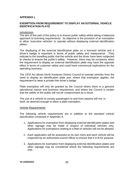### **APPENDIX L**

#### **EXEMPTION FROM REQUIREMENT TO DISPLAY AN EXTERNAL VEHICLE IDENTIFICATION PLATE**

#### **Introduction**

The aim of this part of the policy is to ensure public safety whilst taking a balanced approach to licensing requirements. Its objective is the provision of an exemption to allow 'executive vehicles' to operate without displaying external identification plates.

The displaying of the external identification plate on a licensed vehicle and a driver's badge is important in terms of public safety and reassurance. They indicate to the travelling public that the vehicle and the driver have been subjected to checks to ensure the public's safety. However, there may be occasions when the requirement to display an external identification plate may have the opposite effect in terms of customer safety and could have commercial implications for the operating business.

The 1976 Act allows North Kesteven District Council to exempt vehicles from the need to display an identification plate and, where that exemption applies, the requirement to wear a private hire driver's badge.

Plate exemption will only be granted by the Council where there is a genuine operational reason and business requirement, and where the Council is certain that the safety of the public will not be compromised as a result.

The use of a vehicle to convey passengers to and from airports will not, in itself, be deemed enough to allow a plate exemption.

#### Vehicle Requirements

The following vehicle requirements are in addition to the standard vehicle specification contained in Appendix A.

- 1. Applications for exemption from displaying external identification plates and other signage may be made in respect of individual vehicles only. Applications for exemptions relating to a fleet of vehicles will not be allowed.
- 2. Each application will be assessed on its own merit and each vehicle will be inspected by an authorised council officer to ensure that it is fit for purpose.
- 3. Applications for exemption from displaying external identification plates and other signage may be considered where the following requirements are met:-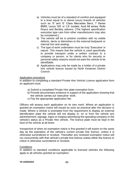- a) Vehicles must be of a standard of comfort and equipped to a level equal to or above luxury brands of vehicles such as 'S' and 'E' Class Mercedes Benz, 7 Series BMW, Lexus 'GS' or 'LS' models, Audi A8 series, Rolls Royce and Bentley saloons. (The highest specification executive type cars from other manufacturers may also be considered.);
- b) The vehicle will be in pristine condition with no visible defects, dents or blemishes to the external bodywork or internal trim and seating;
- c) The type of work undertaken must be truly 'Executive' in nature. This means that the vehicle is used specifically to provide transport under a written contract to a company or person, or for clients who for security or personal safety reasons would not want the vehicle to be identifiable.
- d) Applications may only be made by a holder of a private hire vehicle licence issued by North Kesteven District Council.

#### Application procedure

In addition to completing a standard Private Hire Vehicle Licence application form an applicant must;

- a) Submit a completed Private Hire plate exemption form;
- b) Provide documentary evidence in support of the application showing that the vehicle carries out 'executive' work;
- c) Pay the appropriate application fee.

Officers will assess each application on its own merit. Where an application is granted an exemption notice will issued as soon as practical after the decision is made. Where a vehicle is exempted from the requirement to display an external identification plate the vehicle will not display in, on or from the vehicle any advertisement, signage, logos or insignia advertising the operating company or the vehicle's status as a Private Hire vehicle. The licence plate must be kept in the boot of the vehicle at all times.

Irrespective of when an exemption notice is first granted it will expire on the same day as the expiration of the vehicle's current private hire licence, unless it is otherwise surrendered or revoked. Thereafter any renewed exemption notice will run concurrently with that vehicle's private hire licence unless either the licence or notice is otherwise surrendered or revoked.

## **Conditions**

In addition to standard conditions applicable to licensed vehicles the following apply to all vehicles granted an exemption;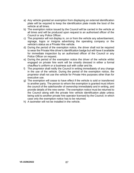- a) Any vehicle granted an exemption from displaying an external identification plate will be required to keep the identification plate inside the boot of the vehicle at all times.
- b) The exemption notice issued by the Council will be carried in the vehicle at all times and will be produced upon request to an authorised officer of the Council or any Police Officer.
- c) The proprietor will not display in, on or from the vehicle any advertisement, signage, logos or insignia advertising the operating company or the vehicle's status as a Private Hire vehicle.
- d) During the period of the exemption notice, the driver shall not be required to wear the Private Hire driver's identification badge but will have it available for immediate inspection by an authorised officer of the Council or any Police Officer on request.
- e) During the period of the exemption notice the driver of the vehicle whilst engaged on private hire work will be smartly dressed in either a formal chauffeur's uniform or a business suit with collar and tie.
- f) The proprietor shall notify the Council in writing immediately of any change in the use of the vehicle. During the period of the exemption notice, the proprietor shall not use the vehicle for Private Hire purposes other than for executive use.
- g) The exemption will cease to have effect if the vehicle is sold or transferred to another party. The person to whom the exemption is granted must inform the council of the sale/transfer of ownership immediately and in writing, and provide details of the new owner. The exemption notice must be returned to the Council along with the private hire vehicle identification plate unless being sold to another private hire operator licensed by the Council; in which case only the exemption notice has to be returned.
- h) A taximeter will not be installed in the vehicle.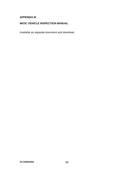# **APPENDIX M**

## **NKDC VEHICLE INSPECTION MANUAL**

Available as separate document and download.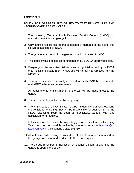#### **APPENDIX N**

### **POLICY FOR GARAGES AUTHORISED TO TEST PRIVATE HIRE AND HACKNEY CARRIAGE VEHICLES**

- 1. The Licensing Team at North Kesteven District Council (NKDC) will maintain the authorised garage list.
- 2. Only council vehicle test reports completed by garages on the authorised list will be accepted by NKDC.
- 3. The garage must be within the geographical boundaries of NKDC.
- 4. The council vehicle test must be undertaken by a DVSA approved tester.
- 5. If a garage on the authorised list becomes red light risk scored by the DVSA they must immediately inform NKDC and will normally be removed from the NKDC list.
- 6. Testing will be carried out strictly in accordance with DVSA MOT standards and NKDC vehicle test requirements.
- 7. All appointments and payments for the test will be made direct to the garage.
- 8. The fee for the test will be set by the garage.
- 9. The NKDC copy of the Certificate must be handed to the driver presenting the vehicle for checking, they will be responsible for submitting it to the NKDC Licensing Team as soon as practicable, together with any application form required.
- 10.In the event of a test failure the inspecting garage must inform the Licensing Team as soon as possible, either by phone or email to [licensing@n](mailto:licensing@n-kesteven.gov.uk)[kesteven.gov.uk](mailto:licensing@n-kesteven.gov.uk) . Telephone 01529 308339.
- 11.All written records relating to taxi and private hire testing will be retained by the garage for 1 year and produced to NKDC on request.
- 12.The garage must permit inspection by Council Officers at any time the garage is open to the public.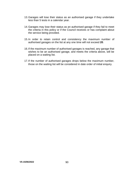- 13.Garages will lose their status as an authorised garage if they undertake less than 5 tests in a calendar year.
- 14.Garages may lose their status as an authorised garage if they fail to meet the criteria in this policy or if the Council receives or has complaint about the service being provided.
- 15.In order to retain control and consistency the maximum number of authorised garages on the list at any one time will not exceed **20**.
- 16.If the maximum number of authorised garages is reached, any garage that wishes to be an authorised garage, and meets the criteria above, will be placed on a waiting list.
- 17.If the number of authorised garages drops below the maximum number, those on the waiting list will be considered in date order of initial enquiry.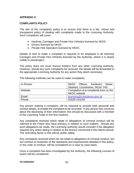### **APPENDIX O**

#### **COMPLAINTS POLICY**

The aim of the complaints policy is to ensure that there is a fair, robust and transparent policy of dealing with complaints made to the Licensing Authority. Such complaints will cover:

- Hackney Carriages and Private Hire Vehicles licensed by NKDC
- Drivers licensed by NKDC
- Private Hire Operators licensed by NKDC

Details of how to make a complaint is required to be displayed in all Hackney Carriages and Private Hire Vehicles licensed by the Authority, where it is clearly visible to passengers.

The policy does not cover licence holders from any other Licensing Authority. However, should any such complaints be received, the details will be forwarded to the appropriate Licensing Authority for any action they deem necessary.

| l In Person | NKDC Offices, Kesteven Street,         |  |  |  |
|-------------|----------------------------------------|--|--|--|
|             | Sleaford, Lincolnshire, NG34 7HS       |  |  |  |
| l Website   | Completion of a complaints form on the |  |  |  |
|             | <b>NKDC</b> website                    |  |  |  |
| Email       | licensing@n-kesteven.gov.uk            |  |  |  |
| Phone       | 01529 414155                           |  |  |  |

The following methods can be used to make complaints:

Any person making a complaint, will be required to provide both personal and contact details, to enable the complaint to be recorded. If any person has concerns about the disclosing of their information, this should be discussed with a member of the Licensing Team in the first instance.

Any complaints received which relate to allegations of criminal conduct will be referred to the Police who have primacy in relation to such matters. Should any such allegations be made, the Licensing Authority would consider if the allegation required any action taking in relation to the licence concerned in the interim period. The overriding factor in this will be public safety.

Any complaints received which do not relate to allegations of criminal conduct, but are centred on breaches of the standards and requirements detailed in this policy, or the code of conduct, will be considered on a case by case basis.

Once a complaint has been investigated by the Authority, the following courses of action will be considered: